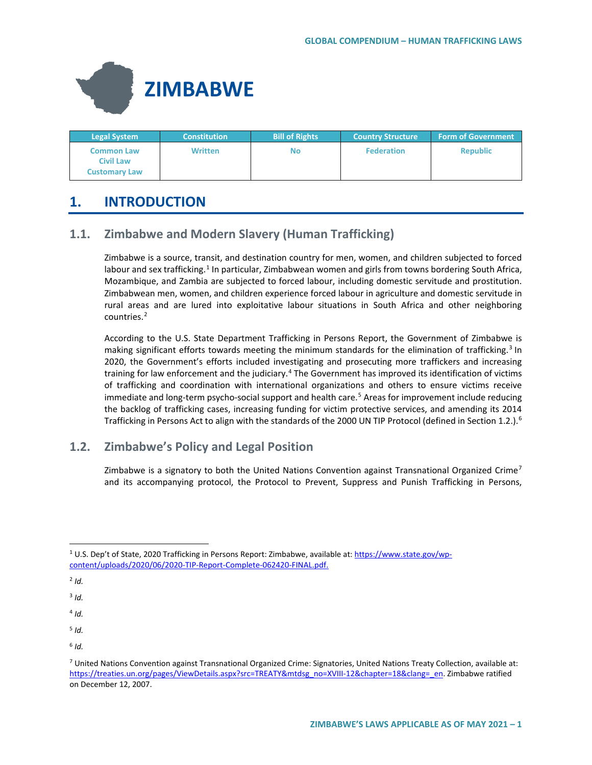

| <b>Legal System</b>                                    | <b>Constitution</b> | <b>Bill of Rights</b> | <b>Country Structure</b> | <b>Form of Government</b> |
|--------------------------------------------------------|---------------------|-----------------------|--------------------------|---------------------------|
| <b>Common Law</b><br>Civil Law<br><b>Customary Law</b> | <b>Written</b>      | No                    | <b>Federation</b>        | <b>Republic</b>           |

# **1. INTRODUCTION**

# **1.1. Zimbabwe and Modern Slavery (Human Trafficking)**

Zimbabwe is a source, transit, and destination country for men, women, and children subjected to forced labour and sex trafficking.<sup>[1](#page-0-0)</sup> In particular, Zimbabwean women and girls from towns bordering South Africa, Mozambique, and Zambia are subjected to forced labour, including domestic servitude and prostitution. Zimbabwean men, women, and children experience forced labour in agriculture and domestic servitude in rural areas and are lured into exploitative labour situations in South Africa and other neighboring countries.<sup>[2](#page-0-1)</sup>

According to the U.S. State Department Trafficking in Persons Report, the Government of Zimbabwe is making significant efforts towards meeting the minimum standards for the elimination of trafficking.<sup>[3](#page-0-2)</sup> In 2020, the Government's efforts included investigating and prosecuting more traffickers and increasing training for law enforcement and the judiciary.<sup>4</sup> The Government has improved its identification of victims of trafficking and coordination with international organizations and others to ensure victims receive immediate and long-term psycho-social support and health care.<sup>[5](#page-0-4)</sup> Areas for improvement include reducing the backlog of trafficking cases, increasing funding for victim protective services, and amending its 2014 Trafficking in Persons Act to align with the standards of the 2000 UN TIP Protocol (defined in Section 1.2.).<sup>[6](#page-0-5)</sup>

## **1.2. Zimbabwe's Policy and Legal Position**

Zimbabwe is a signatory to both the United Nations Convention against Transnational Organized Crime<sup>[7](#page-0-6)</sup> and its accompanying protocol, the Protocol to Prevent, Suppress and Punish Trafficking in Persons,

- <span id="page-0-4"></span><sup>5</sup> *Id.*
- <span id="page-0-5"></span> $6$  *Id.*

<span id="page-0-1"></span><span id="page-0-0"></span> <sup>1</sup> U.S. Dep't of State, 2020 Trafficking in Persons Report: Zimbabwe, available at[: https://www.state.gov/wp](https://www.state.gov/reports/2020-trafficking-in-persons-report/zimbabwe/)[content/uploads/2020/06/2020-TIP-Report-Complete-062420-FINAL.pdf.](https://www.state.gov/reports/2020-trafficking-in-persons-report/zimbabwe/)

 $2$   $Id.$ 

<span id="page-0-2"></span><sup>3</sup> *Id.*

<span id="page-0-3"></span> $4$  *Id.* 

<span id="page-0-6"></span><sup>7</sup> United Nations Convention against Transnational Organized Crime: Signatories, United Nations Treaty Collection, available at: [https://treaties.un.org/pages/ViewDetails.aspx?src=TREATY&mtdsg\\_no=XVIII-12&chapter=18&clang=\\_en.](https://treaties.un.org/pages/ViewDetails.aspx?src=TREATY&mtdsg_no=XVIII-12&chapter=18&clang=_en) Zimbabwe ratified on December 12, 2007.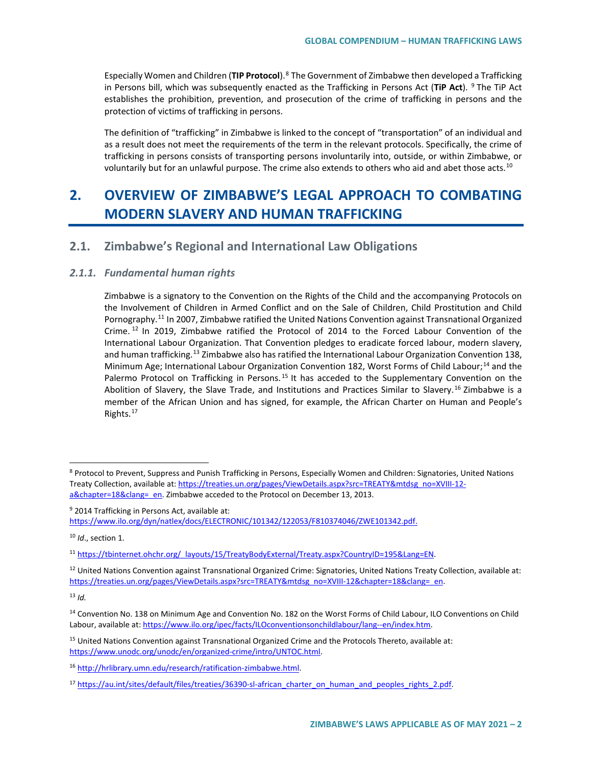Especially Women and Children (**TIP Protocol**).[8](#page-1-0) The Government of Zimbabwe then developed a Trafficking in Persons bill, which was subsequently enacted as the Trafficking in Persons Act (**TiP Act**). [9](#page-1-1) The TiP Act establishes the prohibition, prevention, and prosecution of the crime of trafficking in persons and the protection of victims of trafficking in persons.

The definition of "trafficking" in Zimbabwe is linked to the concept of "transportation" of an individual and as a result does not meet the requirements of the term in the relevant protocols. Specifically, the crime of trafficking in persons consists of transporting persons involuntarily into, outside, or within Zimbabwe, or voluntarily but for an unlawful purpose. The crime also extends to others who aid and abet those acts.<sup>[10](#page-1-2)</sup>

# **2. OVERVIEW OF ZIMBABWE'S LEGAL APPROACH TO COMBATING MODERN SLAVERY AND HUMAN TRAFFICKING**

## **2.1. Zimbabwe's Regional and International Law Obligations**

#### *2.1.1. Fundamental human rights*

Zimbabwe is a signatory to the Convention on the Rights of the Child and the accompanying Protocols on the Involvement of Children in Armed Conflict and on the Sale of Children, Child Prostitution and Child Pornography.<sup>[11](#page-1-3)</sup> In 2007, Zimbabwe ratified the United Nations Convention against Transnational Organized Crime. [12](#page-1-4) In 2019, Zimbabwe ratified the Protocol of 2014 to the Forced Labour Convention of the International Labour Organization. That Convention pledges to eradicate forced labour, modern slavery, and human trafficking.<sup>[13](#page-1-5)</sup> Zimbabwe also has ratified the International Labour Organization Convention 138, Minimum Age; International Labour Organization Convention 182, Worst Forms of Child Labour;<sup>[14](#page-1-6)</sup> and the Palermo Protocol on Trafficking in Persons.<sup>[15](#page-1-7)</sup> It has acceded to the Supplementary Convention on the Abolition of Slavery, the Slave Trade, and Institutions and Practices Similar to Slavery.<sup>[16](#page-1-8)</sup> Zimbabwe is a member of the African Union and has signed, for example, the African Charter on Human and People's Rights.[17](#page-1-9)

<span id="page-1-2"></span><sup>10</sup> *Id*., section 1.

<span id="page-1-0"></span> <sup>8</sup> Protocol to Prevent, Suppress and Punish Trafficking in Persons, Especially Women and Children: Signatories, United Nations Treaty Collection, available at[: https://treaties.un.org/pages/ViewDetails.aspx?src=TREATY&mtdsg\\_no=XVIII-12](https://treaties.un.org/pages/ViewDetails.aspx?src=TREATY&mtdsg_no=XVIII-12-a&chapter=18&clang=_en) a&chapter=18&clang= en. Zimbabwe acceded to the Protocol on December 13, 2013.

<span id="page-1-1"></span><sup>&</sup>lt;sup>9</sup> 2014 Trafficking in Persons Act, available at: [https://www.ilo.org/dyn/natlex/docs/ELECTRONIC/101342/122053/F810374046/ZWE101342.pdf.](https://www.ilo.org/dyn/natlex/docs/ELECTRONIC/101342/122053/F810374046/ZWE101342.pdf)

<span id="page-1-3"></span><sup>11</sup> [https://tbinternet.ohchr.org/\\_layouts/15/TreatyBodyExternal/Treaty.aspx?CountryID=195&Lang=EN.](https://tbinternet.ohchr.org/_layouts/15/TreatyBodyExternal/Treaty.aspx?CountryID=195&Lang=EN)

<span id="page-1-4"></span> $12$  United Nations Convention against Transnational Organized Crime: Signatories, United Nations Treaty Collection, available at: [https://treaties.un.org/pages/ViewDetails.aspx?src=TREATY&mtdsg\\_no=XVIII-12&chapter=18&clang=\\_en.](https://treaties.un.org/pages/ViewDetails.aspx?src=TREATY&mtdsg_no=XVIII-12&chapter=18&clang=_en)

<span id="page-1-6"></span><span id="page-1-5"></span><sup>&</sup>lt;sup>14</sup> Convention No. 138 on Minimum Age and Convention No. 182 on the Worst Forms of Child Labour, ILO Conventions on Child Labour, available at: [https://www.ilo.org/ipec/facts/ILOconventionsonchildlabour/lang--en/index.htm.](https://www.ilo.org/ipec/facts/ILOconventionsonchildlabour/lang--en/index.htm)

<span id="page-1-7"></span><sup>15</sup> United Nations Convention against Transnational Organized Crime and the Protocols Thereto, available at: [https://www.unodc.org/unodc/en/organized-crime/intro/UNTOC.html.](https://www.unodc.org/unodc/en/organized-crime/intro/UNTOC.html) 

<span id="page-1-8"></span><sup>16</sup> [http://hrlibrary.umn.edu/research/ratification-zimbabwe.html.](http://hrlibrary.umn.edu/research/ratification-zimbabwe.html)

<span id="page-1-9"></span><sup>&</sup>lt;sup>17</sup> [https://au.int/sites/default/files/treaties/36390-sl-african\\_charter\\_on\\_human\\_and\\_peoples\\_rights\\_2.pdf.](https://au.int/sites/default/files/treaties/36390-sl-african_charter_on_human_and_peoples_rights_2.pdf)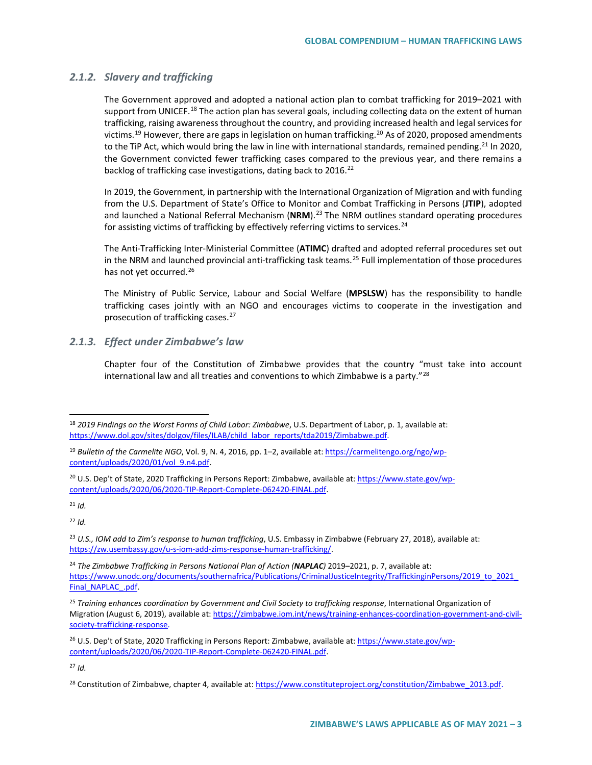#### *2.1.2. Slavery and trafficking*

The Government approved and adopted a national action plan to combat trafficking for 2019–2021 with support from UNICEF.<sup>[18](#page-2-0)</sup> The action plan has several goals, including collecting data on the extent of human trafficking, raising awareness throughout the country, and providing increased health and legal services for victims.<sup>[19](#page-2-1)</sup> However, there are gaps in legislation on human trafficking.<sup>[20](#page-2-2)</sup> As of 2020, proposed amendments to the TiP Act, which would bring the law in line with international standards, remained pending.<sup>21</sup> In 2020, the Government convicted fewer trafficking cases compared to the previous year, and there remains a backlog of trafficking case investigations, dating back to 2016.<sup>[22](#page-2-4)</sup>

In 2019, the Government, in partnership with the International Organization of Migration and with funding from the U.S. Department of State's Office to Monitor and Combat Trafficking in Persons (**JTIP**), adopted and launched a National Referral Mechanism (NRM).<sup>[23](#page-2-5)</sup> The NRM outlines standard operating procedures for assisting victims of trafficking by effectively referring victims to services.<sup>[24](#page-2-6)</sup>

The Anti-Trafficking Inter-Ministerial Committee (**ATIMC**) drafted and adopted referral procedures set out in the NRM and launched provincial anti-trafficking task teams.<sup>[25](#page-2-7)</sup> Full implementation of those procedures has not yet occurred.<sup>[26](#page-2-8)</sup>

The Ministry of Public Service, Labour and Social Welfare (**MPSLSW**) has the responsibility to handle trafficking cases jointly with an NGO and encourages victims to cooperate in the investigation and prosecution of trafficking cases.<sup>[27](#page-2-9)</sup>

### *2.1.3. Effect under Zimbabwe's law*

Chapter four of the Constitution of Zimbabwe provides that the country "must take into account international law and all treaties and conventions to which Zimbabwe is a party."[28](#page-2-10)

<span id="page-2-3"></span><sup>21</sup> *Id.*

<span id="page-2-4"></span><sup>22</sup> *Id.*

<span id="page-2-0"></span> <sup>18</sup> *2019 Findings on the Worst Forms of Child Labor: Zimbabwe*, U.S. Department of Labor, p. 1, available at: [https://www.dol.gov/sites/dolgov/files/ILAB/child\\_labor\\_reports/tda2019/Zimbabwe.pdf.](https://www.dol.gov/sites/dolgov/files/ILAB/child_labor_reports/tda2019/Zimbabwe.pdf)

<span id="page-2-1"></span><sup>&</sup>lt;sup>19</sup> Bulletin of the Carmelite NGO, Vol. 9, N. 4, 2016, pp. 1–2, available at[: https://carmelitengo.org/ngo/wp](https://carmelitengo.org/ngo/wp-content/uploads/2020/01/vol_9.n4.pdf)[content/uploads/2020/01/vol\\_9.n4.pdf.](https://carmelitengo.org/ngo/wp-content/uploads/2020/01/vol_9.n4.pdf) 

<span id="page-2-2"></span><sup>&</sup>lt;sup>20</sup> U.S. Dep't of State, 2020 Trafficking in Persons Report: Zimbabwe, available at: [https://www.state.gov/wp](https://www.state.gov/reports/2020-trafficking-in-persons-report/zimbabwe/)[content/uploads/2020/06/2020-TIP-Report-Complete-062420-FINAL.pdf.](https://www.state.gov/reports/2020-trafficking-in-persons-report/zimbabwe/)

<span id="page-2-5"></span><sup>23</sup> *U.S., IOM add to Zim's response to human trafficking*, U.S. Embassy in Zimbabwe (February 27, 2018), available at: [https://zw.usembassy.gov/u-s-iom-add-zims-response-human-trafficking/.](https://zw.usembassy.gov/u-s-iom-add-zims-response-human-trafficking/) 

<span id="page-2-6"></span><sup>24</sup> *The Zimbabwe Trafficking in Persons National Plan of Action (NAPLAC)* 2019–2021, p. 7, available at: [https://www.unodc.org/documents/southernafrica/Publications/CriminalJusticeIntegrity/TraffickinginPersons/2019\\_to\\_2021\\_](https://www.unodc.org/documents/southernafrica/Publications/CriminalJusticeIntegrity/TraffickinginPersons/2019_to_2021_Final_NAPLAC_.pdf) [Final\\_NAPLAC\\_.pdf.](https://www.unodc.org/documents/southernafrica/Publications/CriminalJusticeIntegrity/TraffickinginPersons/2019_to_2021_Final_NAPLAC_.pdf)

<span id="page-2-7"></span><sup>25</sup> *Training enhances coordination by Government and Civil Society to trafficking response*, International Organization of Migration (August 6, 2019), available at[: https://zimbabwe.iom.int/news/training-enhances-coordination-government-and-civil](https://zimbabwe.iom.int/news/training-enhances-coordination-government-and-civil-society-trafficking-response)[society-trafficking-response.](https://zimbabwe.iom.int/news/training-enhances-coordination-government-and-civil-society-trafficking-response)

<span id="page-2-8"></span><sup>&</sup>lt;sup>26</sup> U.S. Dep't of State, 2020 Trafficking in Persons Report: Zimbabwe, available at: [https://www.state.gov/wp](https://www.state.gov/reports/2020-trafficking-in-persons-report/zimbabwe/)[content/uploads/2020/06/2020-TIP-Report-Complete-062420-FINAL.pdf.](https://www.state.gov/reports/2020-trafficking-in-persons-report/zimbabwe/) 

<span id="page-2-10"></span><span id="page-2-9"></span><sup>&</sup>lt;sup>28</sup> Constitution of Zimbabwe, chapter 4, available at[: https://www.constituteproject.org/constitution/Zimbabwe\\_2013.pdf.](https://www.constituteproject.org/constitution/Zimbabwe_2013.pdf)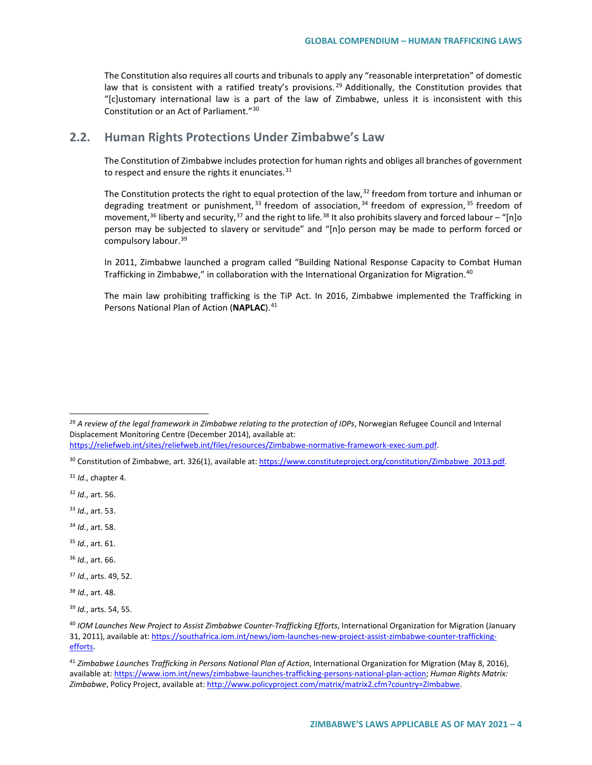The Constitution also requires all courts and tribunals to apply any "reasonable interpretation" of domestic law that is consistent with a ratified treaty's provisions.<sup>[29](#page-3-0)</sup> Additionally, the Constitution provides that "[c]ustomary international law is a part of the law of Zimbabwe, unless it is inconsistent with this Constitution or an Act of Parliament."[30](#page-3-1)

## **2.2. Human Rights Protections Under Zimbabwe's Law**

The Constitution of Zimbabwe includes protection for human rights and obliges all branches of government to respect and ensure the rights it enunciates. $31$ 

The Constitution protects the right to equal protection of the law,  $32$  freedom from torture and inhuman or degrading treatment or punishment,  $33$  freedom of association,  $34$  freedom of expression,  $35$  freedom of movement,<sup>[36](#page-3-7)</sup> liberty and security,<sup>[37](#page-3-8)</sup> and the right to life.<sup>[38](#page-3-9)</sup> It also prohibits slavery and forced labour – "[n]o person may be subjected to slavery or servitude" and "[n]o person may be made to perform forced or compulsory labour.<sup>[39](#page-3-10)</sup>

In 2011, Zimbabwe launched a program called "Building National Response Capacity to Combat Human Trafficking in Zimbabwe," in collaboration with the International Organization for Migration.<sup>[40](#page-3-11)</sup>

The main law prohibiting trafficking is the TiP Act. In 2016, Zimbabwe implemented the Trafficking in Persons National Plan of Action (NAPLAC).<sup>[41](#page-3-12)</sup>

<span id="page-3-3"></span><sup>32</sup> *Id.*, art. 56.

- <span id="page-3-4"></span><sup>33</sup> *Id.*, art. 53.
- <span id="page-3-5"></span><sup>34</sup> *Id.*, art. 58.
- <span id="page-3-6"></span><sup>35</sup> *Id.*, art. 61.
- <span id="page-3-7"></span><sup>36</sup> *Id.*, art. 66.
- <span id="page-3-8"></span><sup>37</sup> *Id.*, arts. 49, 52.
- <span id="page-3-9"></span><sup>38</sup> *Id.*, art. 48.

<span id="page-3-0"></span><sup>&</sup>lt;sup>29</sup> A review of the legal framework in Zimbabwe relating to the protection of IDPs, Norwegian Refugee Council and Internal Displacement Monitoring Centre (December 2014), available at:

[https://reliefweb.int/sites/reliefweb.int/files/resources/Zimbabwe-normative-framework-exec-sum.pdf.](https://reliefweb.int/sites/reliefweb.int/files/resources/Zimbabwe-normative-framework-exec-sum.pdf)

<span id="page-3-1"></span><sup>30</sup> Constitution of Zimbabwe, art. 326(1), available at[: https://www.constituteproject.org/constitution/Zimbabwe\\_2013.pdf.](https://www.constituteproject.org/constitution/Zimbabwe_2013.pdf)

<span id="page-3-2"></span><sup>31</sup> *Id.*, chapter 4.

<span id="page-3-10"></span><sup>39</sup> *Id.*, arts. 54, 55.

<span id="page-3-11"></span><sup>40</sup> *IOM Launches New Project to Assist Zimbabwe Counter-Trafficking Efforts*, International Organization for Migration (January 31, 2011), available at: [https://southafrica.iom.int/news/iom-launches-new-project-assist-zimbabwe-counter-trafficking](https://southafrica.iom.int/news/iom-launches-new-project-assist-zimbabwe-counter-trafficking-efforts)[efforts.](https://southafrica.iom.int/news/iom-launches-new-project-assist-zimbabwe-counter-trafficking-efforts) 

<span id="page-3-12"></span><sup>41</sup> *Zimbabwe Launches Trafficking in Persons National Plan of Action*, International Organization for Migration (May 8, 2016), available at[: https://www.iom.int/news/zimbabwe-launches-trafficking-persons-national-plan-action;](https://www.iom.int/news/zimbabwe-launches-trafficking-persons-national-plan-action) *Human Rights Matrix: Zimbabwe*, Policy Project, available at[: http://www.policyproject.com/matrix/matrix2.cfm?country=Zimbabwe.](http://www.policyproject.com/matrix/matrix2.cfm?country=Zimbabwe)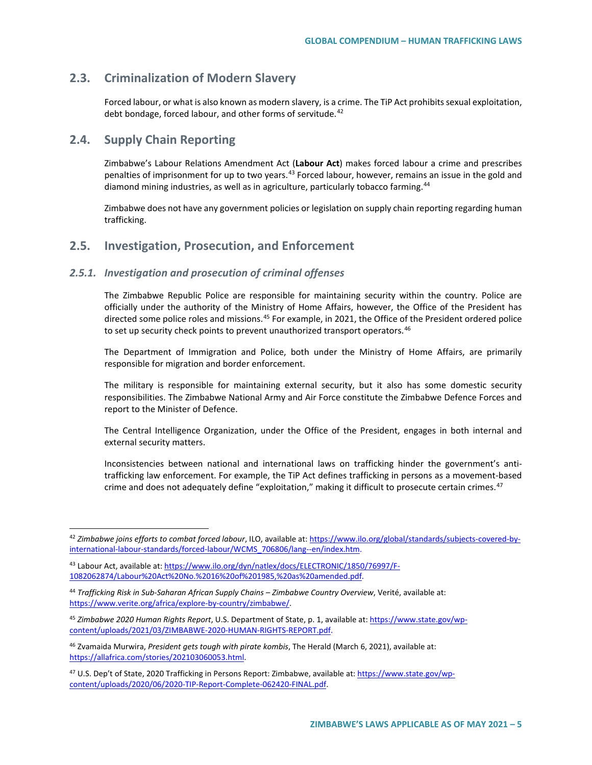## **2.3. Criminalization of Modern Slavery**

Forced labour, or what is also known as modern slavery, is a crime. The TiP Act prohibits sexual exploitation, debt bondage, forced labour, and other forms of servitude.<sup>[42](#page-4-0)</sup>

## **2.4. Supply Chain Reporting**

Zimbabwe's Labour Relations Amendment Act (**Labour Act**) makes forced labour a crime and prescribes penalties of imprisonment for up to two years.<sup>[43](#page-4-1)</sup> Forced labour, however, remains an issue in the gold and diamond mining industries, as well as in agriculture, particularly tobacco farming.<sup>[44](#page-4-2)</sup>

Zimbabwe does not have any government policies or legislation on supply chain reporting regarding human trafficking.

## **2.5. Investigation, Prosecution, and Enforcement**

#### *2.5.1. Investigation and prosecution of criminal offenses*

The Zimbabwe Republic Police are responsible for maintaining security within the country. Police are officially under the authority of the Ministry of Home Affairs, however, the Office of the President has directed some police roles and missions.<sup>[45](#page-4-3)</sup> For example, in 2021, the Office of the President ordered police to set up security check points to prevent unauthorized transport operators.<sup>[46](#page-4-4)</sup>

The Department of Immigration and Police, both under the Ministry of Home Affairs, are primarily responsible for migration and border enforcement.

The military is responsible for maintaining external security, but it also has some domestic security responsibilities. The Zimbabwe National Army and Air Force constitute the Zimbabwe Defence Forces and report to the Minister of Defence.

The Central Intelligence Organization, under the Office of the President, engages in both internal and external security matters.

Inconsistencies between national and international laws on trafficking hinder the government's antitrafficking law enforcement. For example, the TiP Act defines trafficking in persons as a movement-based crime and does not adequately define "exploitation," making it difficult to prosecute certain crimes.<sup>[47](#page-4-5)</sup>

<span id="page-4-0"></span> <sup>42</sup> *Zimbabwe joins efforts to combat forced labour*, ILO, available at[: https://www.ilo.org/global/standards/subjects-covered-by](https://www.ilo.org/global/standards/subjects-covered-by-international-labour-standards/forced-labour/WCMS_706806/lang--en/index.htm)[international-labour-standards/forced-labour/WCMS\\_706806/lang--en/index.htm.](https://www.ilo.org/global/standards/subjects-covered-by-international-labour-standards/forced-labour/WCMS_706806/lang--en/index.htm)

<span id="page-4-1"></span><sup>43</sup> Labour Act, available at[: https://www.ilo.org/dyn/natlex/docs/ELECTRONIC/1850/76997/F-](https://www.ilo.org/dyn/natlex/docs/ELECTRONIC/1850/76997/F-1082062874/Labour%20Act%20No.%2016%20of%201985,%20as%20amended.pdf)[1082062874/Labour%20Act%20No.%2016%20of%201985,%20as%20amended.pdf.](https://www.ilo.org/dyn/natlex/docs/ELECTRONIC/1850/76997/F-1082062874/Labour%20Act%20No.%2016%20of%201985,%20as%20amended.pdf)

<span id="page-4-2"></span><sup>44</sup> *Trafficking Risk in Sub-Saharan African Supply Chains – Zimbabwe Country Overview*, Verité, available at: [https://www.verite.org/africa/explore-by-country/zimbabwe/.](https://www.verite.org/africa/explore-by-country/zimbabwe/)

<span id="page-4-3"></span><sup>45</sup> *Zimbabwe 2020 Human Rights Report*, U.S. Department of State, p. 1, available at[: https://www.state.gov/wp](https://www.state.gov/wp-content/uploads/2021/03/ZIMBABWE-2020-HUMAN-RIGHTS-REPORT.pdf)[content/uploads/2021/03/ZIMBABWE-2020-HUMAN-RIGHTS-REPORT.pdf.](https://www.state.gov/wp-content/uploads/2021/03/ZIMBABWE-2020-HUMAN-RIGHTS-REPORT.pdf)

<span id="page-4-4"></span><sup>46</sup> Zvamaida Murwira, *President gets tough with pirate kombis*, The Herald (March 6, 2021), available at: [https://allafrica.com/stories/202103060053.html.](https://allafrica.com/stories/202103060053.html) 

<span id="page-4-5"></span><sup>&</sup>lt;sup>47</sup> U.S. Dep't of State, 2020 Trafficking in Persons Report: Zimbabwe, available at: [https://www.state.gov/wp](https://www.state.gov/reports/2020-trafficking-in-persons-report/zimbabwe/)[content/uploads/2020/06/2020-TIP-Report-Complete-062420-FINAL.pdf.](https://www.state.gov/reports/2020-trafficking-in-persons-report/zimbabwe/)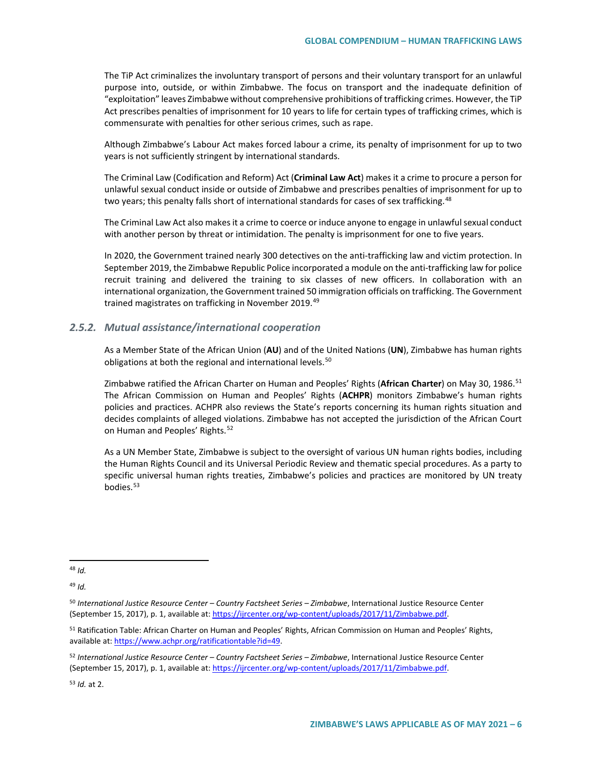The TiP Act criminalizes the involuntary transport of persons and their voluntary transport for an unlawful purpose into, outside, or within Zimbabwe. The focus on transport and the inadequate definition of "exploitation" leaves Zimbabwe without comprehensive prohibitions of trafficking crimes. However, the TiP Act prescribes penalties of imprisonment for 10 years to life for certain types of trafficking crimes, which is commensurate with penalties for other serious crimes, such as rape.

Although Zimbabwe's Labour Act makes forced labour a crime, its penalty of imprisonment for up to two years is not sufficiently stringent by international standards.

The Criminal Law (Codification and Reform) Act (**Criminal Law Act**) makes it a crime to procure a person for unlawful sexual conduct inside or outside of Zimbabwe and prescribes penalties of imprisonment for up to two years; this penalty falls short of international standards for cases of sex trafficking.<sup>[48](#page-5-0)</sup>

The Criminal Law Act also makes it a crime to coerce or induce anyone to engage in unlawful sexual conduct with another person by threat or intimidation. The penalty is imprisonment for one to five years.

In 2020, the Government trained nearly 300 detectives on the anti-trafficking law and victim protection. In September 2019, the Zimbabwe Republic Police incorporated a module on the anti-trafficking law for police recruit training and delivered the training to six classes of new officers. In collaboration with an international organization, the Government trained 50 immigration officials on trafficking. The Government trained magistrates on trafficking in November 2019.<sup>[49](#page-5-1)</sup>

#### *2.5.2. Mutual assistance/international cooperation*

As a Member State of the African Union (**AU**) and of the United Nations (**UN**), Zimbabwe has human rights obligations at both the regional and international levels.<sup>[50](#page-5-2)</sup>

Zimbabwe ratified the African Charter on Human and Peoples' Rights (**African Charter**) on May 30, 1986.[51](#page-5-3) The African Commission on Human and Peoples' Rights (**ACHPR**) monitors Zimbabwe's human rights policies and practices. ACHPR also reviews the State's reports concerning its human rights situation and decides complaints of alleged violations. Zimbabwe has not accepted the jurisdiction of the African Court on Human and Peoples' Rights.<sup>[52](#page-5-4)</sup>

As a UN Member State, Zimbabwe is subject to the oversight of various UN human rights bodies, including the Human Rights Council and its Universal Periodic Review and thematic special procedures. As a party to specific universal human rights treaties, Zimbabwe's policies and practices are monitored by UN treaty bodies.<sup>[53](#page-5-5)</sup>

<span id="page-5-1"></span><sup>49</sup> *Id.*

<span id="page-5-5"></span><sup>53</sup> *Id.* at 2.

<span id="page-5-0"></span> <sup>48</sup> *Id.*

<span id="page-5-2"></span><sup>50</sup> *International Justice Resource Center – Country Factsheet Series – Zimbabwe*, International Justice Resource Center (September 15, 2017), p. 1, available at: [https://ijrcenter.org/wp-content/uploads/2017/11/Zimbabwe.pdf.](https://ijrcenter.org/wp-content/uploads/2017/11/Zimbabwe.pdf)

<span id="page-5-3"></span><sup>&</sup>lt;sup>51</sup> Ratification Table: African Charter on Human and Peoples' Rights, African Commission on Human and Peoples' Rights, available at[: https://www.achpr.org/ratificationtable?id=49.](https://www.achpr.org/ratificationtable?id=49)

<span id="page-5-4"></span><sup>52</sup> *International Justice Resource Center – Country Factsheet Series – Zimbabwe*, International Justice Resource Center (September 15, 2017), p. 1, available at: [https://ijrcenter.org/wp-content/uploads/2017/11/Zimbabwe.pdf.](https://ijrcenter.org/wp-content/uploads/2017/11/Zimbabwe.pdf)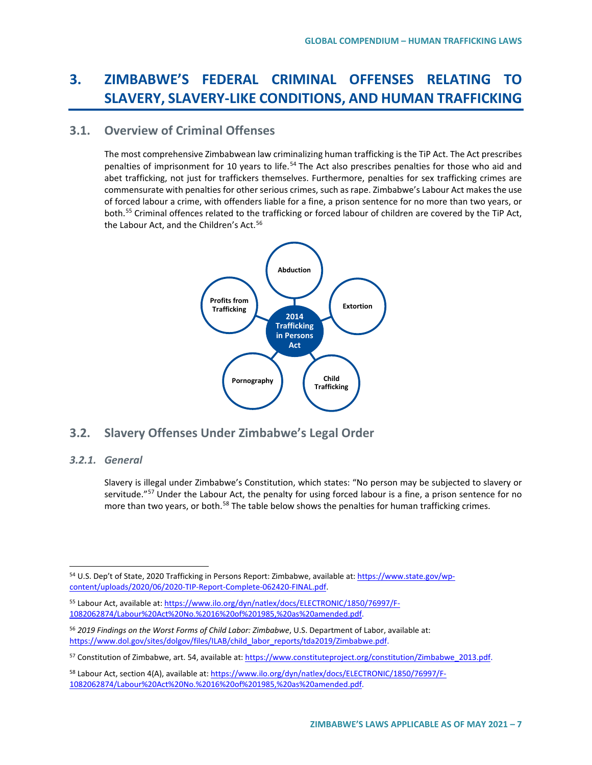# **3. ZIMBABWE'S FEDERAL CRIMINAL OFFENSES RELATING TO SLAVERY, SLAVERY-LIKE CONDITIONS, AND HUMAN TRAFFICKING**

## **3.1. Overview of Criminal Offenses**

The most comprehensive Zimbabwean law criminalizing human trafficking is the TiP Act. The Act prescribes penalties of imprisonment for 10 years to life.<sup>[54](#page-6-0)</sup> The Act also prescribes penalties for those who aid and abet trafficking, not just for traffickers themselves. Furthermore, penalties for sex trafficking crimes are commensurate with penalties for other serious crimes, such as rape. Zimbabwe's Labour Act makes the use of forced labour a crime, with offenders liable for a fine, a prison sentence for no more than two years, or both.<sup>[55](#page-6-1)</sup> Criminal offences related to the trafficking or forced labour of children are covered by the TiP Act, the Labour Act, and the Children's Act.<sup>[56](#page-6-2)</sup>



# **3.2. Slavery Offenses Under Zimbabwe's Legal Order**

### *3.2.1. General*

Slavery is illegal under Zimbabwe's Constitution, which states: "No person may be subjected to slavery or servitude."<sup>[57](#page-6-3)</sup> Under the Labour Act, the penalty for using forced labour is a fine, a prison sentence for no more than two years, or both.<sup>[58](#page-6-4)</sup> The table below shows the penalties for human trafficking crimes.

<span id="page-6-0"></span> <sup>54</sup> U.S. Dep't of State, 2020 Trafficking in Persons Report: Zimbabwe, available at: [https://www.state.gov/wp](https://www.state.gov/reports/2020-trafficking-in-persons-report/zimbabwe/)[content/uploads/2020/06/2020-TIP-Report-Complete-062420-FINAL.pdf.](https://www.state.gov/reports/2020-trafficking-in-persons-report/zimbabwe/) 

<span id="page-6-1"></span><sup>55</sup> Labour Act, available at[: https://www.ilo.org/dyn/natlex/docs/ELECTRONIC/1850/76997/F-](https://www.ilo.org/dyn/natlex/docs/ELECTRONIC/1850/76997/F-1082062874/Labour%20Act%20No.%2016%20of%201985,%20as%20amended.pdf)[1082062874/Labour%20Act%20No.%2016%20of%201985,%20as%20amended.pdf.](https://www.ilo.org/dyn/natlex/docs/ELECTRONIC/1850/76997/F-1082062874/Labour%20Act%20No.%2016%20of%201985,%20as%20amended.pdf)

<span id="page-6-2"></span><sup>56</sup> *2019 Findings on the Worst Forms of Child Labor: Zimbabwe*, U.S. Department of Labor, available at: [https://www.dol.gov/sites/dolgov/files/ILAB/child\\_labor\\_reports/tda2019/Zimbabwe.pdf.](https://www.dol.gov/sites/dolgov/files/ILAB/child_labor_reports/tda2019/Zimbabwe.pdf)

<span id="page-6-3"></span><sup>57</sup> Constitution of Zimbabwe, art. 54, available at[: https://www.constituteproject.org/constitution/Zimbabwe\\_2013.pdf.](https://www.constituteproject.org/constitution/Zimbabwe_2013.pdf)

<span id="page-6-4"></span><sup>58</sup> Labour Act, section 4(A), available at[: https://www.ilo.org/dyn/natlex/docs/ELECTRONIC/1850/76997/F-](https://www.ilo.org/dyn/natlex/docs/ELECTRONIC/1850/76997/F-1082062874/Labour%20Act%20No.%2016%20of%201985,%20as%20amended.pdf)[1082062874/Labour%20Act%20No.%2016%20of%201985,%20as%20amended.pdf.](https://www.ilo.org/dyn/natlex/docs/ELECTRONIC/1850/76997/F-1082062874/Labour%20Act%20No.%2016%20of%201985,%20as%20amended.pdf)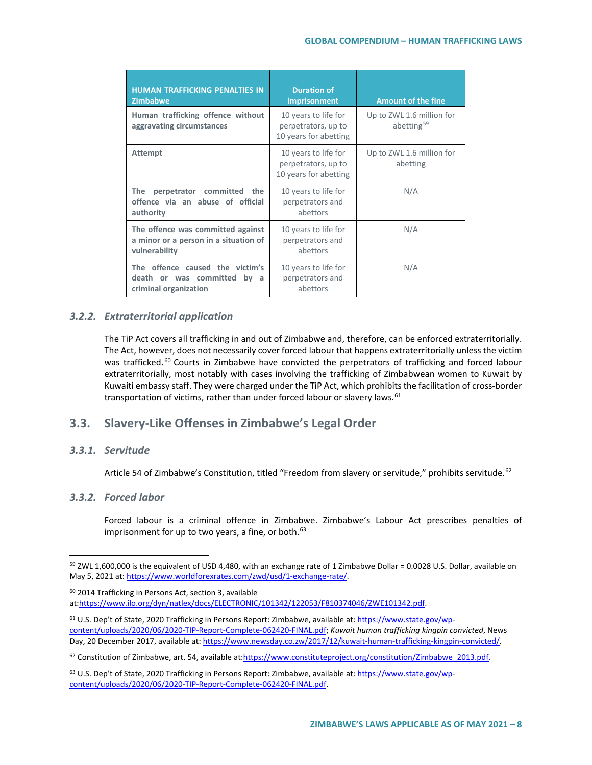| <b>HUMAN TRAFFICKING PENALTIES IN</b><br><b>Zimbabwe</b>                                      | <b>Duration of</b><br>imprisonment                                   | <b>Amount of the fine</b>                           |
|-----------------------------------------------------------------------------------------------|----------------------------------------------------------------------|-----------------------------------------------------|
| Human trafficking offence without<br>aggravating circumstances                                | 10 years to life for<br>perpetrators, up to<br>10 years for abetting | Up to ZWL 1.6 million for<br>abetting <sup>59</sup> |
| <b>Attempt</b>                                                                                | 10 years to life for<br>perpetrators, up to<br>10 years for abetting | Up to ZWL 1.6 million for<br>abetting               |
| <b>The</b><br>perpetrator committed the<br>offence via an abuse of official<br>authority      | 10 years to life for<br>perpetrators and<br>abettors                 | N/A                                                 |
| The offence was committed against<br>a minor or a person in a situation of<br>vulnerability   | 10 years to life for<br>perpetrators and<br>abettors                 | N/A                                                 |
| The offence caused the victim's<br>death or was committed<br>bv<br>a<br>criminal organization | 10 years to life for<br>perpetrators and<br>abettors                 | N/A                                                 |

### *3.2.2. Extraterritorial application*

The TiP Act covers all trafficking in and out of Zimbabwe and, therefore, can be enforced extraterritorially. The Act, however, does not necessarily cover forced labour that happens extraterritorially unless the victim was trafficked.<sup>[60](#page-7-1)</sup> Courts in Zimbabwe have convicted the perpetrators of trafficking and forced labour extraterritorially, most notably with cases involving the trafficking of Zimbabwean women to Kuwait by Kuwaiti embassy staff. They were charged under the TiP Act, which prohibits the facilitation of cross-border transportation of victims, rather than under forced labour or slavery laws.  $61$ 

## **3.3. Slavery-Like Offenses in Zimbabwe's Legal Order**

### *3.3.1. Servitude*

Article 54 of Zimbabwe's Constitution, titled "Freedom from slavery or servitude," prohibits servitude.<sup>[62](#page-7-3)</sup>

### *3.3.2. Forced labor*

Forced labour is a criminal offence in Zimbabwe. Zimbabwe's Labour Act prescribes penalties of imprisonment for up to two years, a fine, or both.<sup>[63](#page-7-4)</sup>

<span id="page-7-3"></span>62 Constitution of Zimbabwe, art. 54, available a[t:https://www.constituteproject.org/constitution/Zimbabwe\\_2013.pdf.](https://www.constituteproject.org/constitution/Zimbabwe_2013.pdf)

<span id="page-7-0"></span><sup>&</sup>lt;sup>59</sup> ZWL 1,600,000 is the equivalent of USD 4,480, with an exchange rate of 1 Zimbabwe Dollar = 0.0028 U.S. Dollar, available on May 5, 2021 at: [https://www.worldforexrates.com/zwd/usd/1-exchange-rate/.](https://www.worldforexrates.com/zwd/usd/1-exchange-rate/)

<span id="page-7-1"></span><sup>60</sup> 2014 Trafficking in Persons Act, section 3, available a[t:https://www.ilo.org/dyn/natlex/docs/ELECTRONIC/101342/122053/F810374046/ZWE101342.pdf.](https://www.ilo.org/dyn/natlex/docs/ELECTRONIC/101342/122053/F810374046/ZWE101342.pdf)

<span id="page-7-2"></span><sup>61</sup> U.S. Dep't of State, 2020 Trafficking in Persons Report: Zimbabwe, available at: [https://www.state.gov/wp](https://www.state.gov/reports/2020-trafficking-in-persons-report/zimbabwe/)[content/uploads/2020/06/2020-TIP-Report-Complete-062420-FINAL.pdf;](https://www.state.gov/reports/2020-trafficking-in-persons-report/zimbabwe/) *Kuwait human trafficking kingpin convicted*, News Day, 20 December 2017, available at: [https://www.newsday.co.zw/2017/12/kuwait-human-trafficking-kingpin-convicted/.](https://www.newsday.co.zw/2017/12/kuwait-human-trafficking-kingpin-convicted/)

<span id="page-7-4"></span><sup>&</sup>lt;sup>63</sup> U.S. Dep't of State, 2020 Trafficking in Persons Report: Zimbabwe, available at: [https://www.state.gov/wp](https://www.state.gov/reports/2020-trafficking-in-persons-report/zimbabwe/)[content/uploads/2020/06/2020-TIP-Report-Complete-062420-FINAL.pdf.](https://www.state.gov/reports/2020-trafficking-in-persons-report/zimbabwe/)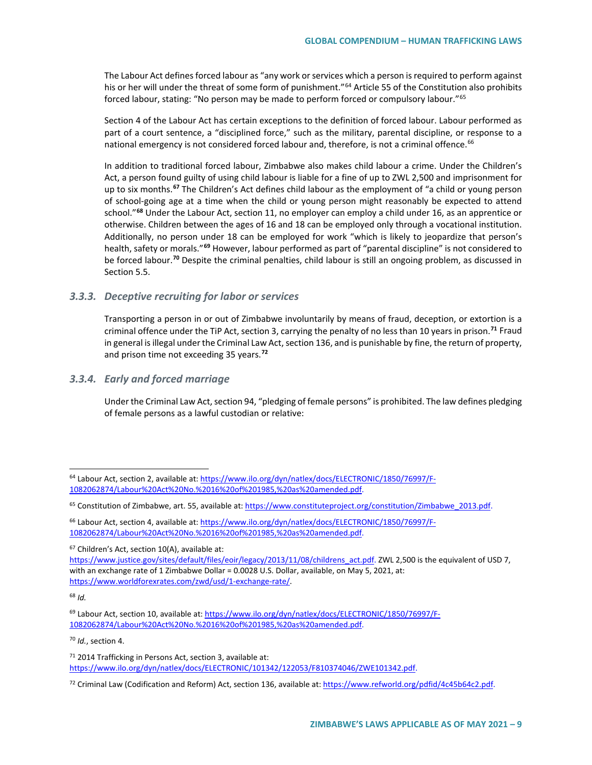The Labour Act defines forced labour as "any work or services which a person is required to perform against his or her will under the threat of some form of punishment."<sup>[64](#page-8-0)</sup> Article 55 of the Constitution also prohibits forced labour, stating: "No person may be made to perform forced or compulsory labour."[65](#page-8-1)

Section 4 of the Labour Act has certain exceptions to the definition of forced labour. Labour performed as part of a court sentence, a "disciplined force," such as the military, parental discipline, or response to a national emergency is not considered forced labour and, therefore, is not a criminal offence.<sup>[66](#page-8-2)</sup>

In addition to traditional forced labour, Zimbabwe also makes child labour a crime. Under the Children's Act, a person found guilty of using child labour is liable for a fine of up to ZWL 2,500 and imprisonment for up to six months.**[67](#page-8-3)** The Children's Act defines child labour as the employment of "a child or young person of school-going age at a time when the child or young person might reasonably be expected to attend school."**[68](#page-8-4)** Under the Labour Act, section 11, no employer can employ a child under 16, as an apprentice or otherwise. Children between the ages of 16 and 18 can be employed only through a vocational institution. Additionally, no person under 18 can be employed for work "which is likely to jeopardize that person's health, safety or morals."**[69](#page-8-5)** However, labour performed as part of "parental discipline" is not considered to be forced labour.**[70](#page-8-6)** Despite the criminal penalties, child labour is still an ongoing problem, as discussed in Section 5.5.

#### *3.3.3. Deceptive recruiting for labor or services*

Transporting a person in or out of Zimbabwe involuntarily by means of fraud, deception, or extortion is a criminal offence under the TiP Act, section 3, carrying the penalty of no less than 10 years in prison.**[71](#page-8-7)** Fraud in general is illegal under the Criminal Law Act, section 136, and is punishable by fine, the return of property, and prison time not exceeding 35 years.**[72](#page-8-8)**

#### *3.3.4. Early and forced marriage*

Under the Criminal Law Act, section 94, "pledging of female persons" is prohibited. The law defines pledging of female persons as a lawful custodian or relative:

<span id="page-8-4"></span><sup>68</sup> *Id.*

<span id="page-8-6"></span><sup>70</sup> *Id.*, section 4.

<span id="page-8-0"></span><sup>64</sup> Labour Act, section 2, available at[: https://www.ilo.org/dyn/natlex/docs/ELECTRONIC/1850/76997/F-](https://www.ilo.org/dyn/natlex/docs/ELECTRONIC/1850/76997/F-1082062874/Labour%20Act%20No.%2016%20of%201985,%20as%20amended.pdf)[1082062874/Labour%20Act%20No.%2016%20of%201985,%20as%20amended.pdf.](https://www.ilo.org/dyn/natlex/docs/ELECTRONIC/1850/76997/F-1082062874/Labour%20Act%20No.%2016%20of%201985,%20as%20amended.pdf)

<span id="page-8-1"></span><sup>65</sup> Constitution of Zimbabwe, art. 55, available at[: https://www.constituteproject.org/constitution/Zimbabwe\\_2013.pdf.](https://www.constituteproject.org/constitution/Zimbabwe_2013.pdf)

<span id="page-8-2"></span><sup>&</sup>lt;sup>66</sup> Labour Act, section 4, available at[: https://www.ilo.org/dyn/natlex/docs/ELECTRONIC/1850/76997/F-](https://www.ilo.org/dyn/natlex/docs/ELECTRONIC/1850/76997/F-1082062874/Labour%20Act%20No.%2016%20of%201985,%20as%20amended.pdf)[1082062874/Labour%20Act%20No.%2016%20of%201985,%20as%20amended.pdf.](https://www.ilo.org/dyn/natlex/docs/ELECTRONIC/1850/76997/F-1082062874/Labour%20Act%20No.%2016%20of%201985,%20as%20amended.pdf)

<span id="page-8-3"></span><sup>67</sup> Children's Act, section 10(A), available at:

[https://www.justice.gov/sites/default/files/eoir/legacy/2013/11/08/childrens\\_act.pdf.](https://www.justice.gov/sites/default/files/eoir/legacy/2013/11/08/childrens_act.pdf) ZWL 2,500 is the equivalent of USD 7, with an exchange rate of 1 Zimbabwe Dollar = 0.0028 U.S. Dollar, available, on May 5, 2021, at: [https://www.worldforexrates.com/zwd/usd/1-exchange-rate/.](https://www.worldforexrates.com/zwd/usd/1-exchange-rate/)

<span id="page-8-5"></span><sup>&</sup>lt;sup>69</sup> Labour Act, section 10, available at: [https://www.ilo.org/dyn/natlex/docs/ELECTRONIC/1850/76997/F-](https://www.ilo.org/dyn/natlex/docs/ELECTRONIC/1850/76997/F-1082062874/Labour%20Act%20No.%2016%20of%201985,%20as%20amended.pdf)[1082062874/Labour%20Act%20No.%2016%20of%201985,%20as%20amended.pdf.](https://www.ilo.org/dyn/natlex/docs/ELECTRONIC/1850/76997/F-1082062874/Labour%20Act%20No.%2016%20of%201985,%20as%20amended.pdf)

<span id="page-8-7"></span><sup>71</sup> 2014 Trafficking in Persons Act, section 3, available at: [https://www.ilo.org/dyn/natlex/docs/ELECTRONIC/101342/122053/F810374046/ZWE101342.pdf.](https://www.ilo.org/dyn/natlex/docs/ELECTRONIC/101342/122053/F810374046/ZWE101342.pdf)

<span id="page-8-8"></span><sup>72</sup> Criminal Law (Codification and Reform) Act, section 136, available at[: https://www.refworld.org/pdfid/4c45b64c2.pdf.](https://www.refworld.org/pdfid/4c45b64c2.pdf)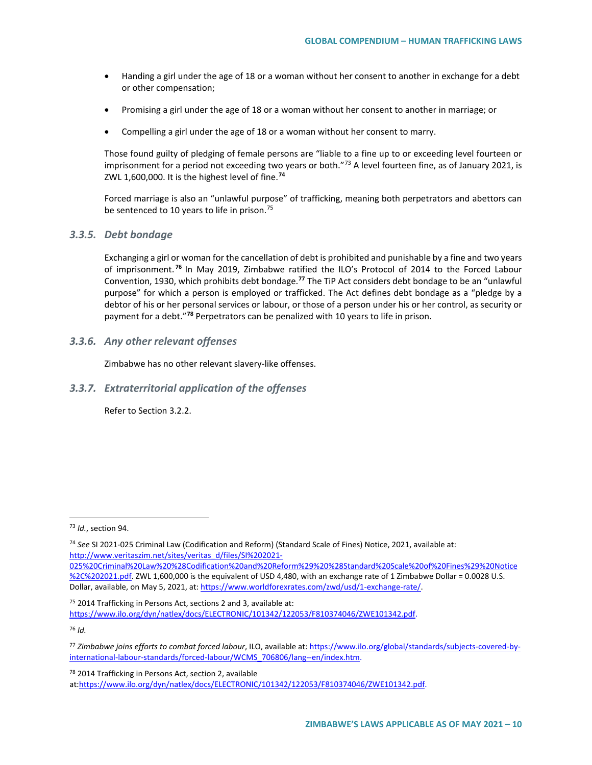- Handing a girl under the age of 18 or a woman without her consent to another in exchange for a debt or other compensation;
- Promising a girl under the age of 18 or a woman without her consent to another in marriage; or
- Compelling a girl under the age of 18 or a woman without her consent to marry.

Those found guilty of pledging of female persons are "liable to a fine up to or exceeding level fourteen or imprisonment for a period not exceeding two years or both."<sup>[73](#page-9-0)</sup> A level fourteen fine, as of January 2021, is ZWL 1,600,000. It is the highest level of fine.**[74](#page-9-1)**

Forced marriage is also an "unlawful purpose" of trafficking, meaning both perpetrators and abettors can be sentenced to 10 years to life in prison.<sup>[75](#page-9-2)</sup>

#### *3.3.5. Debt bondage*

Exchanging a girl or woman for the cancellation of debt is prohibited and punishable by a fine and two years of imprisonment. **[76](#page-9-3)** In May 2019, Zimbabwe ratified the ILO's Protocol of 2014 to the Forced Labour Convention, 1930, which prohibits debt bondage.**[77](#page-9-4)** The TiP Act considers debt bondage to be an "unlawful purpose" for which a person is employed or trafficked. The Act defines debt bondage as a "pledge by a debtor of his or her personal services or labour, or those of a person under his or her control, as security or payment for a debt."**[78](#page-9-5)** Perpetrators can be penalized with 10 years to life in prison.

*3.3.6. Any other relevant offenses*

Zimbabwe has no other relevant slavery-like offenses.

#### *3.3.7. Extraterritorial application of the offenses*

Refer to Section 3.2.2.

<span id="page-9-2"></span> $75$  2014 Trafficking in Persons Act, sections 2 and 3, available at: [https://www.ilo.org/dyn/natlex/docs/ELECTRONIC/101342/122053/F810374046/ZWE101342.pdf.](https://www.ilo.org/dyn/natlex/docs/ELECTRONIC/101342/122053/F810374046/ZWE101342.pdf)

<span id="page-9-3"></span><sup>76</sup> *Id.*

<span id="page-9-5"></span><sup>78</sup> 2014 Trafficking in Persons Act, section 2, available a[t:https://www.ilo.org/dyn/natlex/docs/ELECTRONIC/101342/122053/F810374046/ZWE101342.pdf.](https://www.ilo.org/dyn/natlex/docs/ELECTRONIC/101342/122053/F810374046/ZWE101342.pdf)

<span id="page-9-0"></span> <sup>73</sup> *Id.*, section 94.

<span id="page-9-1"></span><sup>74</sup> *See* SI 2021-025 Criminal Law (Codification and Reform) (Standard Scale of Fines) Notice, 2021, available at: [http://www.veritaszim.net/sites/veritas\\_d/files/SI%202021-](http://www.veritaszim.net/sites/veritas_d/files/SI%202021-025%20Criminal%20Law%20%28Codification%20and%20Reform%29%20%28Standard%20Scale%20of%20Fines%29%20Notice%2C%202021.pdf)

[<sup>025%20</sup>Criminal%20Law%20%28Codification%20and%20Reform%29%20%28Standard%20Scale%20of%20Fines%29%20Notice](http://www.veritaszim.net/sites/veritas_d/files/SI%202021-025%20Criminal%20Law%20%28Codification%20and%20Reform%29%20%28Standard%20Scale%20of%20Fines%29%20Notice%2C%202021.pdf) [%2C%202021.pdf.](http://www.veritaszim.net/sites/veritas_d/files/SI%202021-025%20Criminal%20Law%20%28Codification%20and%20Reform%29%20%28Standard%20Scale%20of%20Fines%29%20Notice%2C%202021.pdf) ZWL 1,600,000 is the equivalent of USD 4,480, with an exchange rate of 1 Zimbabwe Dollar = 0.0028 U.S. Dollar, available, on May 5, 2021, at[: https://www.worldforexrates.com/zwd/usd/1-exchange-rate/.](https://www.worldforexrates.com/zwd/usd/1-exchange-rate/)

<span id="page-9-4"></span><sup>77</sup> *Zimbabwe joins efforts to combat forced labour*, ILO, available at[: https://www.ilo.org/global/standards/subjects-covered-by](https://www.ilo.org/global/standards/subjects-covered-by-international-labour-standards/forced-labour/WCMS_706806/lang--en/index.htm)[international-labour-standards/forced-labour/WCMS\\_706806/lang--en/index.htm.](https://www.ilo.org/global/standards/subjects-covered-by-international-labour-standards/forced-labour/WCMS_706806/lang--en/index.htm)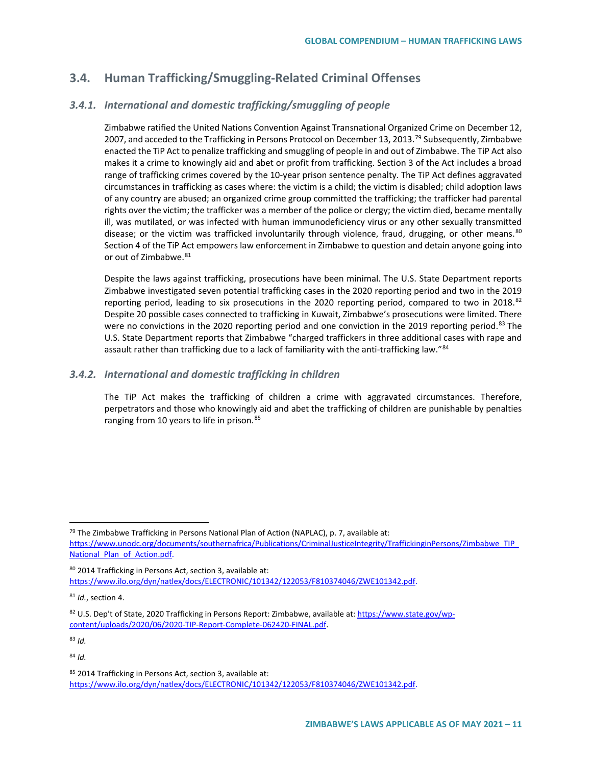# **3.4. Human Trafficking/Smuggling-Related Criminal Offenses**

## *3.4.1. International and domestic trafficking/smuggling of people*

Zimbabwe ratified the United Nations Convention Against Transnational Organized Crime on December 12, 2007, and acceded to the Trafficking in Persons Protocol on December 13, 2013.<sup>79</sup> Subsequently, Zimbabwe enacted the TiP Act to penalize trafficking and smuggling of people in and out of Zimbabwe. The TiP Act also makes it a crime to knowingly aid and abet or profit from trafficking. Section 3 of the Act includes a broad range of trafficking crimes covered by the 10-year prison sentence penalty. The TiP Act defines aggravated circumstances in trafficking as cases where: the victim is a child; the victim is disabled; child adoption laws of any country are abused; an organized crime group committed the trafficking; the trafficker had parental rights over the victim; the trafficker was a member of the police or clergy; the victim died, became mentally ill, was mutilated, or was infected with human immunodeficiency virus or any other sexually transmitted disease; or the victim was trafficked involuntarily through violence, fraud, drugging, or other means. [80](#page-10-1) Section 4 of the TiP Act empowers law enforcement in Zimbabwe to question and detain anyone going into or out of Zimbabwe.<sup>[81](#page-10-2)</sup>

Despite the laws against trafficking, prosecutions have been minimal. The U.S. State Department reports Zimbabwe investigated seven potential trafficking cases in the 2020 reporting period and two in the 2019 reporting period, leading to six prosecutions in the 2020 reporting period, compared to two in 2018.<sup>[82](#page-10-3)</sup> Despite 20 possible cases connected to trafficking in Kuwait, Zimbabwe's prosecutions were limited. There were no convictions in the 2020 reporting period and one conviction in the 2019 reporting period.<sup>[83](#page-10-4)</sup> The U.S. State Department reports that Zimbabwe "charged traffickers in three additional cases with rape and assault rather than trafficking due to a lack of familiarity with the anti-trafficking law."<sup>[84](#page-10-5)</sup>

### *3.4.2. International and domestic trafficking in children*

The TiP Act makes the trafficking of children a crime with aggravated circumstances. Therefore, perpetrators and those who knowingly aid and abet the trafficking of children are punishable by penalties ranging from 10 years to life in prison.<sup>[85](#page-10-6)</sup>

<span id="page-10-5"></span><span id="page-10-4"></span><sup>83</sup> *Id.*

<span id="page-10-0"></span> $79$  The Zimbabwe Trafficking in Persons National Plan of Action (NAPLAC), p. 7, available at: [https://www.unodc.org/documents/southernafrica/Publications/CriminalJusticeIntegrity/TraffickinginPersons/Zimbabwe\\_TIP\\_](https://www.unodc.org/documents/southernafrica/Publications/CriminalJusticeIntegrity/TraffickinginPersons/Zimbabwe_TIP_National_Plan_of_Action.pdf) National Plan of Action.pdf.

<span id="page-10-1"></span><sup>80 2014</sup> Trafficking in Persons Act, section 3, available at: [https://www.ilo.org/dyn/natlex/docs/ELECTRONIC/101342/122053/F810374046/ZWE101342.pdf.](https://www.ilo.org/dyn/natlex/docs/ELECTRONIC/101342/122053/F810374046/ZWE101342.pdf)

<span id="page-10-2"></span><sup>81</sup> *Id.*, section 4.

<span id="page-10-3"></span><sup>&</sup>lt;sup>82</sup> U.S. Dep't of State, 2020 Trafficking in Persons Report: Zimbabwe, available at: [https://www.state.gov/wp](https://www.state.gov/reports/2020-trafficking-in-persons-report/zimbabwe/)[content/uploads/2020/06/2020-TIP-Report-Complete-062420-FINAL.pdf.](https://www.state.gov/reports/2020-trafficking-in-persons-report/zimbabwe/) 

<span id="page-10-6"></span><sup>85 2014</sup> Trafficking in Persons Act, section 3, available at: [https://www.ilo.org/dyn/natlex/docs/ELECTRONIC/101342/122053/F810374046/ZWE101342.pdf.](https://www.ilo.org/dyn/natlex/docs/ELECTRONIC/101342/122053/F810374046/ZWE101342.pdf)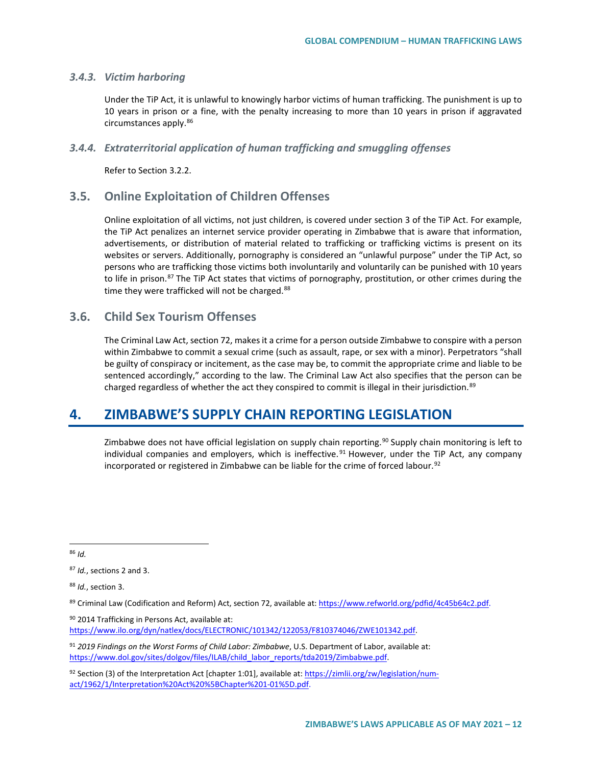#### *3.4.3. Victim harboring*

Under the TiP Act, it is unlawful to knowingly harbor victims of human trafficking. The punishment is up to 10 years in prison or a fine, with the penalty increasing to more than 10 years in prison if aggravated circumstances apply.[86](#page-11-0)

#### *3.4.4. Extraterritorial application of human trafficking and smuggling offenses*

Refer to Section 3.2.2.

## **3.5. Online Exploitation of Children Offenses**

Online exploitation of all victims, not just children, is covered under section 3 of the TiP Act. For example, the TiP Act penalizes an internet service provider operating in Zimbabwe that is aware that information, advertisements, or distribution of material related to trafficking or trafficking victims is present on its websites or servers. Additionally, pornography is considered an "unlawful purpose" under the TiP Act, so persons who are trafficking those victims both involuntarily and voluntarily can be punished with 10 years to life in prison.<sup>[87](#page-11-1)</sup> The TiP Act states that victims of pornography, prostitution, or other crimes during the time they were trafficked will not be charged.<sup>[88](#page-11-2)</sup>

## **3.6. Child Sex Tourism Offenses**

The Criminal Law Act, section 72, makes it a crime for a person outside Zimbabwe to conspire with a person within Zimbabwe to commit a sexual crime (such as assault, rape, or sex with a minor). Perpetrators "shall be guilty of conspiracy or incitement, as the case may be, to commit the appropriate crime and liable to be sentenced accordingly," according to the law. The Criminal Law Act also specifies that the person can be charged regardless of whether the act they conspired to commit is illegal in their jurisdiction.<sup>[89](#page-11-3)</sup>

# **4. ZIMBABWE'S SUPPLY CHAIN REPORTING LEGISLATION**

Zimbabwe does not have official legislation on supply chain reporting.<sup>[90](#page-11-4)</sup> Supply chain monitoring is left to individual companies and employers, which is ineffective.<sup>[91](#page-11-5)</sup> However, under the TiP Act, any company incorporated or registered in Zimbabwe can be liable for the crime of forced labour.<sup>[92](#page-11-6)</sup>

<span id="page-11-2"></span><sup>88</sup> *Id.*, section 3.

<span id="page-11-4"></span>90 2014 Trafficking in Persons Act, available at: [https://www.ilo.org/dyn/natlex/docs/ELECTRONIC/101342/122053/F810374046/ZWE101342.pdf.](https://www.ilo.org/dyn/natlex/docs/ELECTRONIC/101342/122053/F810374046/ZWE101342.pdf) 

<span id="page-11-5"></span><sup>91</sup> *2019 Findings on the Worst Forms of Child Labor: Zimbabwe*, U.S. Department of Labor, available at: [https://www.dol.gov/sites/dolgov/files/ILAB/child\\_labor\\_reports/tda2019/Zimbabwe.pdf.](https://www.dol.gov/sites/dolgov/files/ILAB/child_labor_reports/tda2019/Zimbabwe.pdf)

<span id="page-11-6"></span>92 Section (3) of the Interpretation Act [chapter 1:01], available at[: https://zimlii.org/zw/legislation/num](https://zimlii.org/zw/legislation/num-act/1962/1/Interpretation%20Act%20%5BChapter%201-01%5D.pdf)[act/1962/1/Interpretation%20Act%20%5BChapter%201-01%5D.pdf.](https://zimlii.org/zw/legislation/num-act/1962/1/Interpretation%20Act%20%5BChapter%201-01%5D.pdf)

<span id="page-11-0"></span> <sup>86</sup> *Id.*

<span id="page-11-1"></span><sup>87</sup> *Id.*, sections 2 and 3.

<span id="page-11-3"></span><sup>89</sup> Criminal Law (Codification and Reform) Act, section 72, available at[: https://www.refworld.org/pdfid/4c45b64c2.pdf.](https://www.refworld.org/pdfid/4c45b64c2.pdf)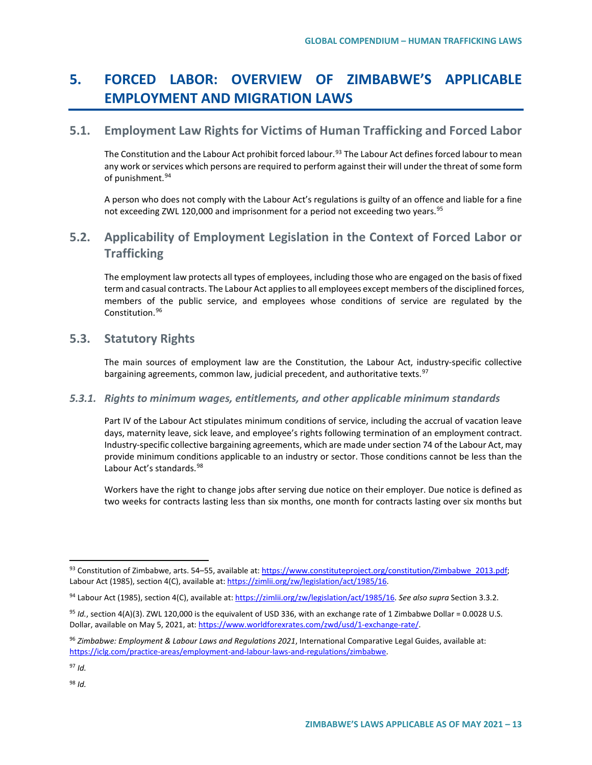# **5. FORCED LABOR: OVERVIEW OF ZIMBABWE'S APPLICABLE EMPLOYMENT AND MIGRATION LAWS**

## **5.1. Employment Law Rights for Victims of Human Trafficking and Forced Labor**

The Constitution and the Labour Act prohibit forced labour.<sup>[93](#page-12-0)</sup> The Labour Act defines forced labour to mean any work or services which persons are required to perform against their will under the threat of some form of punishment.<sup>[94](#page-12-1)</sup>

A person who does not comply with the Labour Act's regulations is guilty of an offence and liable for a fine not exceeding ZWL 120,000 and imprisonment for a period not exceeding two years.<sup>[95](#page-12-2)</sup>

# **5.2. Applicability of Employment Legislation in the Context of Forced Labor or Trafficking**

The employment law protects all types of employees, including those who are engaged on the basis of fixed term and casual contracts. The Labour Act applies to all employees except members of the disciplined forces, members of the public service, and employees whose conditions of service are regulated by the Constitution.[96](#page-12-3)

## **5.3. Statutory Rights**

The main sources of employment law are the Constitution, the Labour Act, industry-specific collective bargaining agreements, common law, judicial precedent, and authoritative texts.<sup>[97](#page-12-4)</sup>

### *5.3.1. Rights to minimum wages, entitlements, and other applicable minimum standards*

Part IV of the Labour Act stipulates minimum conditions of service, including the accrual of vacation leave days, maternity leave, sick leave, and employee's rights following termination of an employment contract. Industry-specific collective bargaining agreements, which are made under section 74 of the Labour Act, may provide minimum conditions applicable to an industry or sector. Those conditions cannot be less than the Labour Act's standards.<sup>[98](#page-12-5)</sup>

Workers have the right to change jobs after serving due notice on their employer. Due notice is defined as two weeks for contracts lasting less than six months, one month for contracts lasting over six months but

<span id="page-12-5"></span><span id="page-12-4"></span><sup>97</sup> *Id.*

<span id="page-12-0"></span><sup>93</sup> Constitution of Zimbabwe, arts. 54–55, available at: [https://www.constituteproject.org/constitution/Zimbabwe\\_2013.pdf;](https://www.constituteproject.org/constitution/Zimbabwe_2013.pdf) Labour Act (1985), section 4(C), available at[: https://zimlii.org/zw/legislation/act/1985/16.](https://zimlii.org/zw/legislation/act/1985/16)

<span id="page-12-1"></span><sup>94</sup> Labour Act (1985), section 4(C), available at[: https://zimlii.org/zw/legislation/act/1985/16.](https://zimlii.org/zw/legislation/act/1985/16) *See also supra* Section 3.3.2.

<span id="page-12-2"></span><sup>95</sup> *Id.*, section 4(A)(3). ZWL 120,000 is the equivalent of USD 336, with an exchange rate of 1 Zimbabwe Dollar = 0.0028 U.S. Dollar, available on May 5, 2021, at[: https://www.worldforexrates.com/zwd/usd/1-exchange-rate/.](https://www.worldforexrates.com/zwd/usd/1-exchange-rate/)

<span id="page-12-3"></span><sup>96</sup> *Zimbabwe: Employment & Labour Laws and Regulations 2021*, International Comparative Legal Guides, available at: [https://iclg.com/practice-areas/employment-and-labour-laws-and-regulations/zimbabwe.](https://iclg.com/practice-areas/employment-and-labour-laws-and-regulations/zimbabwe)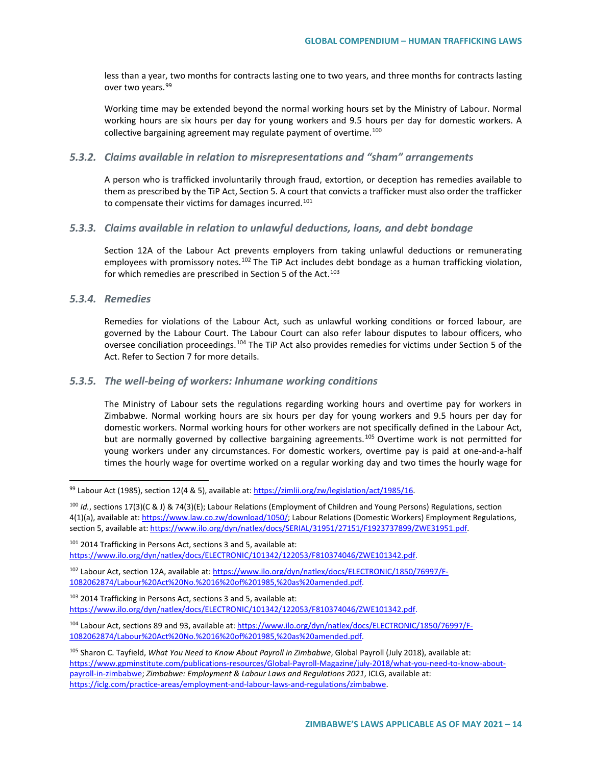less than a year, two months for contracts lasting one to two years, and three months for contracts lasting over two years.<sup>[99](#page-13-0)</sup>

Working time may be extended beyond the normal working hours set by the Ministry of Labour. Normal working hours are six hours per day for young workers and 9.5 hours per day for domestic workers. A collective bargaining agreement may regulate payment of overtime. $100$ 

#### *5.3.2. Claims available in relation to misrepresentations and "sham" arrangements*

A person who is trafficked involuntarily through fraud, extortion, or deception has remedies available to them as prescribed by the TiP Act, Section 5. A court that convicts a trafficker must also order the trafficker to compensate their victims for damages incurred.<sup>[101](#page-13-2)</sup>

#### *5.3.3. Claims available in relation to unlawful deductions, loans, and debt bondage*

Section 12A of the Labour Act prevents employers from taking unlawful deductions or remunerating employees with promissory notes.<sup>[102](#page-13-3)</sup> The TiP Act includes debt bondage as a human trafficking violation, for which remedies are prescribed in Section 5 of the Act. $103$ 

#### *5.3.4. Remedies*

Remedies for violations of the Labour Act, such as unlawful working conditions or forced labour, are governed by the Labour Court. The Labour Court can also refer labour disputes to labour officers, who oversee conciliation proceedings.[104](#page-13-5) The TiP Act also provides remedies for victims under Section 5 of the Act. Refer to Section 7 for more details.

#### *5.3.5. The well-being of workers: Inhumane working conditions*

The Ministry of Labour sets the regulations regarding working hours and overtime pay for workers in Zimbabwe. Normal working hours are six hours per day for young workers and 9.5 hours per day for domestic workers. Normal working hours for other workers are not specifically defined in the Labour Act, but are normally governed by collective bargaining agreements.<sup>[105](#page-13-6)</sup> Overtime work is not permitted for young workers under any circumstances. For domestic workers, overtime pay is paid at one-and-a-half times the hourly wage for overtime worked on a regular working day and two times the hourly wage for

<span id="page-13-1"></span><sup>100</sup> *Id.*, sections 17(3)(C & J) & 74(3)(E); Labour Relations (Employment of Children and Young Persons) Regulations, section 4(1)(a), available at: [https://www.law.co.zw/download/1050/;](https://www.law.co.zw/download/1050/) Labour Relations (Domestic Workers) Employment Regulations, section 5, available at[: https://www.ilo.org/dyn/natlex/docs/SERIAL/31951/27151/F1923737899/ZWE31951.pdf.](https://www.ilo.org/dyn/natlex/docs/SERIAL/31951/27151/F1923737899/ZWE31951.pdf)

<span id="page-13-2"></span>101 2014 Trafficking in Persons Act, sections 3 and 5, available at: [https://www.ilo.org/dyn/natlex/docs/ELECTRONIC/101342/122053/F810374046/ZWE101342.pdf.](https://www.ilo.org/dyn/natlex/docs/ELECTRONIC/101342/122053/F810374046/ZWE101342.pdf)

<span id="page-13-0"></span> <sup>99</sup> Labour Act (1985), section 12(4 & 5), available at[: https://zimlii.org/zw/legislation/act/1985/16.](https://zimlii.org/zw/legislation/act/1985/16) 

<span id="page-13-3"></span><sup>102</sup> Labour Act, section 12A, available at[: https://www.ilo.org/dyn/natlex/docs/ELECTRONIC/1850/76997/F-](https://www.ilo.org/dyn/natlex/docs/ELECTRONIC/1850/76997/F-1082062874/Labour%20Act%20No.%2016%20of%201985,%20as%20amended.pdf)[1082062874/Labour%20Act%20No.%2016%20of%201985,%20as%20amended.pdf.](https://www.ilo.org/dyn/natlex/docs/ELECTRONIC/1850/76997/F-1082062874/Labour%20Act%20No.%2016%20of%201985,%20as%20amended.pdf)

<span id="page-13-4"></span><sup>103</sup> 2014 Trafficking in Persons Act, sections 3 and 5, available at: [https://www.ilo.org/dyn/natlex/docs/ELECTRONIC/101342/122053/F810374046/ZWE101342.pdf.](https://www.ilo.org/dyn/natlex/docs/ELECTRONIC/101342/122053/F810374046/ZWE101342.pdf)

<span id="page-13-5"></span><sup>104</sup> Labour Act, sections 89 and 93, available at[: https://www.ilo.org/dyn/natlex/docs/ELECTRONIC/1850/76997/F-](https://www.ilo.org/dyn/natlex/docs/ELECTRONIC/1850/76997/F-1082062874/Labour%20Act%20No.%2016%20of%201985,%20as%20amended.pdf)[1082062874/Labour%20Act%20No.%2016%20of%201985,%20as%20amended.pdf.](https://www.ilo.org/dyn/natlex/docs/ELECTRONIC/1850/76997/F-1082062874/Labour%20Act%20No.%2016%20of%201985,%20as%20amended.pdf)

<span id="page-13-6"></span><sup>105</sup> Sharon C. Tayfield, *What You Need to Know About Payroll in Zimbabwe*, Global Payroll (July 2018), available at: [https://www.gpminstitute.com/publications-resources/Global-Payroll-Magazine/july-2018/what-you-need-to-know-about](https://www.gpminstitute.com/publications-resources/Global-Payroll-Magazine/july-2018/what-you-need-to-know-about-payroll-in-zimbabwe)[payroll-in-zimbabwe;](https://www.gpminstitute.com/publications-resources/Global-Payroll-Magazine/july-2018/what-you-need-to-know-about-payroll-in-zimbabwe) *Zimbabwe: Employment & Labour Laws and Regulations 2021*, ICLG, available at: [https://iclg.com/practice-areas/employment-and-labour-laws-and-regulations/zimbabwe.](https://iclg.com/practice-areas/employment-and-labour-laws-and-regulations/zimbabwe)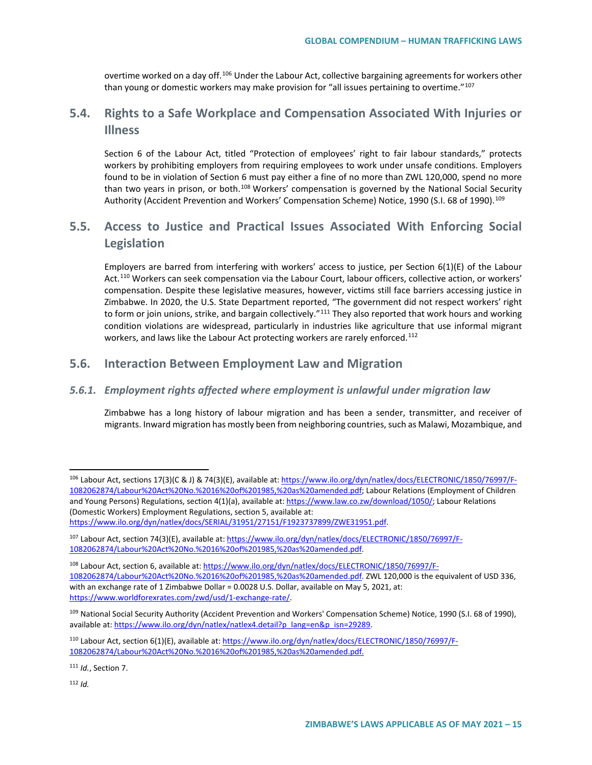overtime worked on a day off.<sup>[106](#page-14-0)</sup> Under the Labour Act, collective bargaining agreements for workers other than young or domestic workers may make provision for "all issues pertaining to overtime."<sup>[107](#page-14-1)</sup>

# **5.4. Rights to a Safe Workplace and Compensation Associated With Injuries or Illness**

Section 6 of the Labour Act, titled "Protection of employees' right to fair labour standards," protects workers by prohibiting employers from requiring employees to work under unsafe conditions. Employers found to be in violation of Section 6 must pay either a fine of no more than ZWL 120,000, spend no more than two years in prison, or both.<sup>[108](#page-14-2)</sup> Workers' compensation is governed by the National Social Security Authority (Accident Prevention and Workers' Compensation Scheme) Notice, 1990 (S.I. 68 of 1990).<sup>[109](#page-14-3)</sup>

# **5.5. Access to Justice and Practical Issues Associated With Enforcing Social Legislation**

Employers are barred from interfering with workers' access to justice, per Section 6(1)(E) of the Labour Act.<sup>[110](#page-14-4)</sup> Workers can seek compensation via the Labour Court, labour officers, collective action, or workers' compensation. Despite these legislative measures, however, victims still face barriers accessing justice in Zimbabwe. In 2020, the U.S. State Department reported, "The government did not respect workers' right to form or join unions, strike, and bargain collectively."<sup>[111](#page-14-5)</sup> They also reported that work hours and working condition violations are widespread, particularly in industries like agriculture that use informal migrant workers, and laws like the Labour Act protecting workers are rarely enforced.<sup>[112](#page-14-6)</sup>

## **5.6. Interaction Between Employment Law and Migration**

### *5.6.1. Employment rights affected where employment is unlawful under migration law*

Zimbabwe has a long history of labour migration and has been a sender, transmitter, and receiver of migrants. Inward migration has mostly been from neighboring countries, such as Malawi, Mozambique, and

<span id="page-14-6"></span><span id="page-14-5"></span><sup>111</sup> *Id.*, Section 7.

<span id="page-14-0"></span> <sup>106</sup> Labour Act, sections 17(3)(C & J) & 74(3)(E), available at[: https://www.ilo.org/dyn/natlex/docs/ELECTRONIC/1850/76997/F-](https://www.ilo.org/dyn/natlex/docs/ELECTRONIC/1850/76997/F-1082062874/Labour%20Act%20No.%2016%20of%201985,%20as%20amended.pdf)[1082062874/Labour%20Act%20No.%2016%20of%201985,%20as%20amended.pdf;](https://www.ilo.org/dyn/natlex/docs/ELECTRONIC/1850/76997/F-1082062874/Labour%20Act%20No.%2016%20of%201985,%20as%20amended.pdf) Labour Relations (Employment of Children and Young Persons) Regulations, section 4(1)(a), available at[: https://www.law.co.zw/download/1050/;](https://www.law.co.zw/download/1050/) Labour Relations (Domestic Workers) Employment Regulations, section 5, available at: [https://www.ilo.org/dyn/natlex/docs/SERIAL/31951/27151/F1923737899/ZWE31951.pdf.](https://www.ilo.org/dyn/natlex/docs/SERIAL/31951/27151/F1923737899/ZWE31951.pdf)

<span id="page-14-1"></span><sup>107</sup> Labour Act, section 74(3)(E), available at: [https://www.ilo.org/dyn/natlex/docs/ELECTRONIC/1850/76997/F-](https://www.ilo.org/dyn/natlex/docs/ELECTRONIC/1850/76997/F-1082062874/Labour%20Act%20No.%2016%20of%201985,%20as%20amended.pdf)[1082062874/Labour%20Act%20No.%2016%20of%201985,%20as%20amended.pdf.](https://www.ilo.org/dyn/natlex/docs/ELECTRONIC/1850/76997/F-1082062874/Labour%20Act%20No.%2016%20of%201985,%20as%20amended.pdf)

<span id="page-14-2"></span><sup>108</sup> Labour Act, section 6, available at[: https://www.ilo.org/dyn/natlex/docs/ELECTRONIC/1850/76997/F-](https://www.ilo.org/dyn/natlex/docs/ELECTRONIC/1850/76997/F-1082062874/Labour%20Act%20No.%2016%20of%201985,%20as%20amended.pdf)[1082062874/Labour%20Act%20No.%2016%20of%201985,%20as%20amended.pdf.](https://www.ilo.org/dyn/natlex/docs/ELECTRONIC/1850/76997/F-1082062874/Labour%20Act%20No.%2016%20of%201985,%20as%20amended.pdf) ZWL 120,000 is the equivalent of USD 336, with an exchange rate of 1 Zimbabwe Dollar = 0.0028 U.S. Dollar, available on May 5, 2021, at: [https://www.worldforexrates.com/zwd/usd/1-exchange-rate/.](https://www.worldforexrates.com/zwd/usd/1-exchange-rate/)

<span id="page-14-3"></span><sup>109</sup> National Social Security Authority (Accident Prevention and Workers' Compensation Scheme) Notice, 1990 (S.I. 68 of 1990), available at[: https://www.ilo.org/dyn/natlex/natlex4.detail?p\\_lang=en&p\\_isn=29289.](https://www.ilo.org/dyn/natlex/natlex4.detail?p_lang=en&p_isn=29289)

<span id="page-14-4"></span><sup>110</sup> Labour Act, section 6(1)(E), available at[: https://www.ilo.org/dyn/natlex/docs/ELECTRONIC/1850/76997/F-](https://www.ilo.org/dyn/natlex/docs/ELECTRONIC/1850/76997/F-1082062874/Labour%20Act%20No.%2016%20of%201985,%20as%20amended.pdf)[1082062874/Labour%20Act%20No.%2016%20of%201985,%20as%20amended.pdf.](https://www.ilo.org/dyn/natlex/docs/ELECTRONIC/1850/76997/F-1082062874/Labour%20Act%20No.%2016%20of%201985,%20as%20amended.pdf)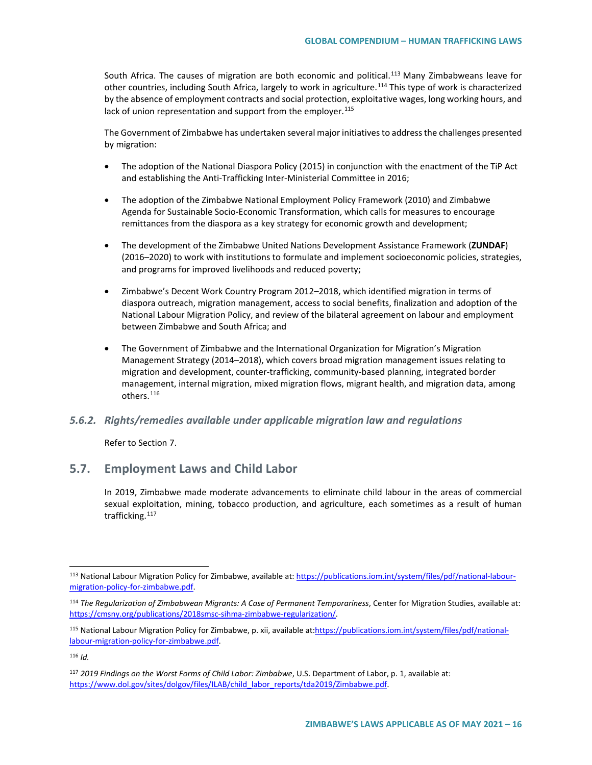South Africa. The causes of migration are both economic and political.<sup>[113](#page-15-0)</sup> Many Zimbabweans leave for other countries, including South Africa, largely to work in agriculture.<sup>[114](#page-15-1)</sup> This type of work is characterized by the absence of employment contracts and social protection, exploitative wages, long working hours, and lack of union representation and support from the employer.  $115$ 

The Government of Zimbabwe has undertaken several major initiatives to address the challenges presented by migration:

- The adoption of the National Diaspora Policy (2015) in conjunction with the enactment of the TiP Act and establishing the Anti-Trafficking Inter-Ministerial Committee in 2016;
- The adoption of the Zimbabwe National Employment Policy Framework (2010) and Zimbabwe Agenda for Sustainable Socio-Economic Transformation, which calls for measures to encourage remittances from the diaspora as a key strategy for economic growth and development;
- The development of the Zimbabwe United Nations Development Assistance Framework (**ZUNDAF**) (2016–2020) to work with institutions to formulate and implement socioeconomic policies, strategies, and programs for improved livelihoods and reduced poverty;
- Zimbabwe's Decent Work Country Program 2012–2018, which identified migration in terms of diaspora outreach, migration management, access to social benefits, finalization and adoption of the National Labour Migration Policy, and review of the bilateral agreement on labour and employment between Zimbabwe and South Africa; and
- The Government of Zimbabwe and the International Organization for Migration's Migration Management Strategy (2014–2018), which covers broad migration management issues relating to migration and development, counter-trafficking, community-based planning, integrated border management, internal migration, mixed migration flows, migrant health, and migration data, among others.[116](#page-15-3)

#### *5.6.2. Rights/remedies available under applicable migration law and regulations*

Refer to Section 7.

## **5.7. Employment Laws and Child Labor**

In 2019, Zimbabwe made moderate advancements to eliminate child labour in the areas of commercial sexual exploitation, mining, tobacco production, and agriculture, each sometimes as a result of human trafficking.<sup>[117](#page-15-4)</sup>

<span id="page-15-0"></span><sup>113</sup> National Labour Migration Policy for Zimbabwe, available at[: https://publications.iom.int/system/files/pdf/national-labour](https://publications.iom.int/system/files/pdf/national-labour-migration-policy-for-zimbabwe.pdf)[migration-policy-for-zimbabwe.pdf.](https://publications.iom.int/system/files/pdf/national-labour-migration-policy-for-zimbabwe.pdf)

<span id="page-15-1"></span><sup>114</sup> *The Regularization of Zimbabwean Migrants: A Case of Permanent Temporariness*, Center for Migration Studies, available at: [https://cmsny.org/publications/2018smsc-sihma-zimbabwe-regularization/.](https://cmsny.org/publications/2018smsc-sihma-zimbabwe-regularization/) 

<span id="page-15-2"></span><sup>115</sup> National Labour Migration Policy for Zimbabwe, p. xii, available at[:https://publications.iom.int/system/files/pdf/national](https://publications.iom.int/system/files/pdf/national-labour-migration-policy-for-zimbabwe.pdf)[labour-migration-policy-for-zimbabwe.pdf.](https://publications.iom.int/system/files/pdf/national-labour-migration-policy-for-zimbabwe.pdf)

<span id="page-15-3"></span><sup>116</sup> *Id.*

<span id="page-15-4"></span><sup>117</sup> *2019 Findings on the Worst Forms of Child Labor: Zimbabwe*, U.S. Department of Labor, p. 1, available at: [https://www.dol.gov/sites/dolgov/files/ILAB/child\\_labor\\_reports/tda2019/Zimbabwe.pdf.](https://www.dol.gov/sites/dolgov/files/ILAB/child_labor_reports/tda2019/Zimbabwe.pdf)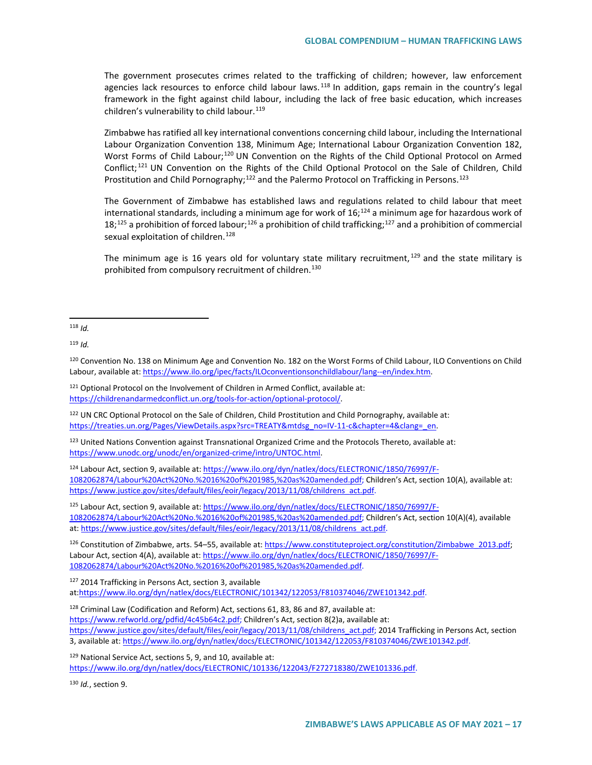The government prosecutes crimes related to the trafficking of children; however, law enforcement agencies lack resources to enforce child labour laws.<sup>[118](#page-16-0)</sup> In addition, gaps remain in the country's legal framework in the fight against child labour, including the lack of free basic education, which increases children's vulnerability to child labour.<sup>[119](#page-16-1)</sup>

Zimbabwe has ratified all key international conventions concerning child labour, including the International Labour Organization Convention 138, Minimum Age; International Labour Organization Convention 182, Worst Forms of Child Labour;<sup>[120](#page-16-2)</sup> UN Convention on the Rights of the Child Optional Protocol on Armed Conflict; [121](#page-16-3) UN Convention on the Rights of the Child Optional Protocol on the Sale of Children, Child Prostitution and Child Pornography;<sup>[122](#page-16-4)</sup> and the Palermo Protocol on Trafficking in Persons.<sup>[123](#page-16-5)</sup>

The Government of Zimbabwe has established laws and regulations related to child labour that meet international standards, including a minimum age for work of  $16<sub>i</sub>^{124}$  $16<sub>i</sub>^{124}$  $16<sub>i</sub>^{124}$  a minimum age for hazardous work of  $18;^{125}$  $18;^{125}$  $18;^{125}$  a prohibition of forced labour;<sup>[126](#page-16-8)</sup> a prohibition of child trafficking;<sup>[127](#page-16-9)</sup> and a prohibition of commercial sexual exploitation of children.<sup>[128](#page-16-10)</sup>

The minimum age is 16 years old for voluntary state military recruitment, <sup>[129](#page-16-11)</sup> and the state military is prohibited from compulsory recruitment of children.<sup>[130](#page-16-12)</sup>

<span id="page-16-3"></span><sup>121</sup> Optional Protocol on the Involvement of Children in Armed Conflict, available at: [https://childrenandarmedconflict.un.org/tools-for-action/optional-protocol/.](https://childrenandarmedconflict.un.org/tools-for-action/optional-protocol/) 

<span id="page-16-4"></span><sup>122</sup> UN CRC Optional Protocol on the Sale of Children, Child Prostitution and Child Pornography, available at: [https://treaties.un.org/Pages/ViewDetails.aspx?src=TREATY&mtdsg\\_no=IV-11-c&chapter=4&clang=\\_en.](https://treaties.un.org/Pages/ViewDetails.aspx?src=TREATY&mtdsg_no=IV-11-c&chapter=4&clang=_en)

<span id="page-16-5"></span><sup>123</sup> United Nations Convention against Transnational Organized Crime and the Protocols Thereto, available at: [https://www.unodc.org/unodc/en/organized-crime/intro/UNTOC.html.](https://www.unodc.org/unodc/en/organized-crime/intro/UNTOC.html) 

<span id="page-16-6"></span><sup>124</sup> Labour Act, section 9, available at[: https://www.ilo.org/dyn/natlex/docs/ELECTRONIC/1850/76997/F-](https://www.ilo.org/dyn/natlex/docs/ELECTRONIC/1850/76997/F-1082062874/Labour%20Act%20No.%2016%20of%201985,%20as%20amended.pdf)[1082062874/Labour%20Act%20No.%2016%20of%201985,%20as%20amended.pdf;](https://www.ilo.org/dyn/natlex/docs/ELECTRONIC/1850/76997/F-1082062874/Labour%20Act%20No.%2016%20of%201985,%20as%20amended.pdf) Children's Act, section 10(A), available at: [https://www.justice.gov/sites/default/files/eoir/legacy/2013/11/08/childrens\\_act.pdf.](https://www.justice.gov/sites/default/files/eoir/legacy/2013/11/08/childrens_act.pdf)

<span id="page-16-7"></span><sup>125</sup> Labour Act, section 9, available at[: https://www.ilo.org/dyn/natlex/docs/ELECTRONIC/1850/76997/F-](https://www.ilo.org/dyn/natlex/docs/ELECTRONIC/1850/76997/F-1082062874/Labour%20Act%20No.%2016%20of%201985,%20as%20amended.pdf)[1082062874/Labour%20Act%20No.%2016%20of%201985,%20as%20amended.pdf;](https://www.ilo.org/dyn/natlex/docs/ELECTRONIC/1850/76997/F-1082062874/Labour%20Act%20No.%2016%20of%201985,%20as%20amended.pdf) Children's Act, section 10(A)(4), available at: [https://www.justice.gov/sites/default/files/eoir/legacy/2013/11/08/childrens\\_act.pdf.](https://www.justice.gov/sites/default/files/eoir/legacy/2013/11/08/childrens_act.pdf)

<span id="page-16-8"></span><sup>126</sup> Constitution of Zimbabwe, arts. 54–55, available at: [https://www.constituteproject.org/constitution/Zimbabwe\\_2013.pdf;](https://www.constituteproject.org/constitution/Zimbabwe_2013.pdf) Labour Act, section 4(A), available at: [https://www.ilo.org/dyn/natlex/docs/ELECTRONIC/1850/76997/F-](https://www.ilo.org/dyn/natlex/docs/ELECTRONIC/1850/76997/F-1082062874/Labour%20Act%20No.%2016%20of%201985,%20as%20amended.pdf)[1082062874/Labour%20Act%20No.%2016%20of%201985,%20as%20amended.pdf.](https://www.ilo.org/dyn/natlex/docs/ELECTRONIC/1850/76997/F-1082062874/Labour%20Act%20No.%2016%20of%201985,%20as%20amended.pdf)

<span id="page-16-9"></span><sup>127</sup> 2014 Trafficking in Persons Act, section 3, available a[t:https://www.ilo.org/dyn/natlex/docs/ELECTRONIC/101342/122053/F810374046/ZWE101342.pdf.](https://www.ilo.org/dyn/natlex/docs/ELECTRONIC/101342/122053/F810374046/ZWE101342.pdf)

<span id="page-16-10"></span><sup>128</sup> Criminal Law (Codification and Reform) Act, sections 61, 83, 86 and 87, available at: [https://www.refworld.org/pdfid/4c45b64c2.pdf;](https://www.refworld.org/pdfid/4c45b64c2.pdf) Children's Act, section 8(2)a, available at: [https://www.justice.gov/sites/default/files/eoir/legacy/2013/11/08/childrens\\_act.pdf;](https://www.justice.gov/sites/default/files/eoir/legacy/2013/11/08/childrens_act.pdf) 2014 Trafficking in Persons Act, section 3, available at: [https://www.ilo.org/dyn/natlex/docs/ELECTRONIC/101342/122053/F810374046/ZWE101342.pdf.](https://www.ilo.org/dyn/natlex/docs/ELECTRONIC/101342/122053/F810374046/ZWE101342.pdf)

<span id="page-16-11"></span>129 National Service Act, sections 5, 9, and 10, available at: [https://www.ilo.org/dyn/natlex/docs/ELECTRONIC/101336/122043/F272718380/ZWE101336.pdf.](https://www.ilo.org/dyn/natlex/docs/ELECTRONIC/101336/122043/F272718380/ZWE101336.pdf)

<span id="page-16-12"></span><sup>130</sup> *Id.*, section 9.

<span id="page-16-0"></span> <sup>118</sup> *Id.*

<span id="page-16-1"></span><sup>119</sup> *Id.*

<span id="page-16-2"></span><sup>120</sup> Convention No. 138 on Minimum Age and Convention No. 182 on the Worst Forms of Child Labour, ILO Conventions on Child Labour, available at: [https://www.ilo.org/ipec/facts/ILOconventionsonchildlabour/lang--en/index.htm.](https://www.ilo.org/ipec/facts/ILOconventionsonchildlabour/lang--en/index.htm)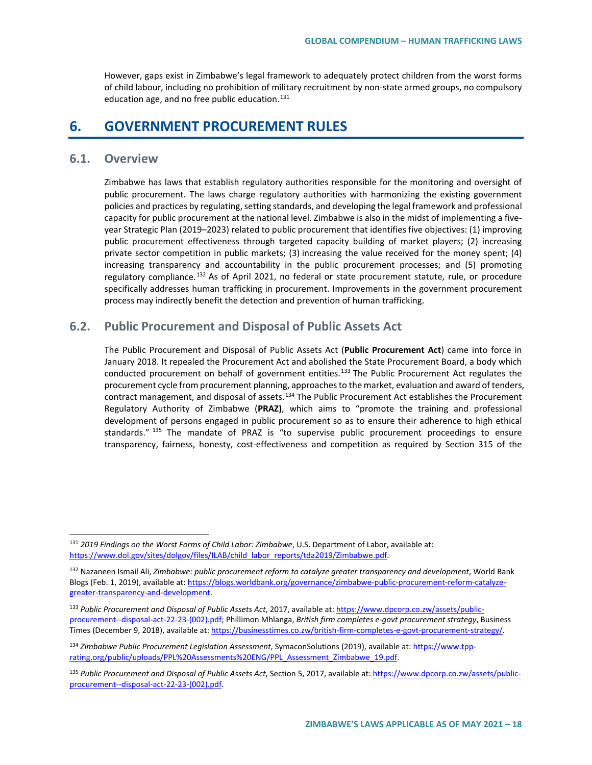However, gaps exist in Zimbabwe's legal framework to adequately protect children from the worst forms of child labour, including no prohibition of military recruitment by non-state armed groups, no compulsory education age, and no free public education. $131$ 

## **6. GOVERNMENT PROCUREMENT RULES**

## **6.1. Overview**

Zimbabwe has laws that establish regulatory authorities responsible for the monitoring and oversight of public procurement. The laws charge regulatory authorities with harmonizing the existing government policies and practices by regulating, setting standards, and developing the legal framework and professional capacity for public procurement at the national level. Zimbabwe is also in the midst of implementing a fiveyear Strategic Plan (2019–2023) related to public procurement that identifies five objectives: (1) improving public procurement effectiveness through targeted capacity building of market players; (2) increasing private sector competition in public markets; (3) increasing the value received for the money spent; (4) increasing transparency and accountability in the public procurement processes; and (5) promoting regulatory compliance.<sup>[132](#page-17-1)</sup> As of April 2021, no federal or state procurement statute, rule, or procedure specifically addresses human trafficking in procurement. Improvements in the government procurement process may indirectly benefit the detection and prevention of human trafficking.

## **6.2. Public Procurement and Disposal of Public Assets Act**

The Public Procurement and Disposal of Public Assets Act (**Public Procurement Act**) came into force in January 2018. It repealed the Procurement Act and abolished the State Procurement Board, a body which conducted procurement on behalf of government entities.<sup>[133](#page-17-2)</sup> The Public Procurement Act regulates the procurement cycle from procurement planning, approaches to the market, evaluation and award of tenders, contract management, and disposal of assets.<sup>[134](#page-17-3)</sup> The Public Procurement Act establishes the Procurement Regulatory Authority of Zimbabwe (**PRAZ)**, which aims to "promote the training and professional development of persons engaged in public procurement so as to ensure their adherence to high ethical standards."<sup>[135](#page-17-4)</sup> The mandate of PRAZ is "to supervise public procurement proceedings to ensure transparency, fairness, honesty, cost-effectiveness and competition as required by Section 315 of the

<span id="page-17-0"></span> <sup>131</sup> *2019 Findings on the Worst Forms of Child Labor: Zimbabwe*, U.S. Department of Labor, available at: [https://www.dol.gov/sites/dolgov/files/ILAB/child\\_labor\\_reports/tda2019/Zimbabwe.pdf.](https://www.dol.gov/sites/dolgov/files/ILAB/child_labor_reports/tda2019/Zimbabwe.pdf)

<span id="page-17-1"></span><sup>132</sup> Nazaneen Ismail Ali, *Zimbabwe: public procurement reform to catalyze greater transparency and development*, World Bank Blogs (Feb. 1, 2019), available at[: https://blogs.worldbank.org/governance/zimbabwe-public-procurement-reform-catalyze](https://blogs.worldbank.org/governance/zimbabwe-public-procurement-reform-catalyze-greater-transparency-and-development)[greater-transparency-and-development.](https://blogs.worldbank.org/governance/zimbabwe-public-procurement-reform-catalyze-greater-transparency-and-development) 

<span id="page-17-2"></span><sup>133</sup> *Public Procurement and Disposal of Public Assets Act*, 2017, available at: [https://www.dpcorp.co.zw/assets/public](https://www.dpcorp.co.zw/assets/public-procurement--disposal-act-22-23-(002).pdf)[procurement--disposal-act-22-23-\(002\).pdf;](https://www.dpcorp.co.zw/assets/public-procurement--disposal-act-22-23-(002).pdf) Phillimon Mhlanga, *British firm completes e-govt procurement strategy*, Business Times (December 9, 2018), available at[: https://businesstimes.co.zw/british-firm-completes-e-govt-procurement-strategy/.](https://businesstimes.co.zw/british-firm-completes-e-govt-procurement-strategy/)

<span id="page-17-3"></span><sup>134</sup> *Zimbabwe Public Procurement Legislation Assessment*, SymaconSolutions (2019), available at[: https://www.tpp](https://www.tpp-rating.org/public/uploads/PPL%20Assessments%20ENG/PPL_Assessment_Zimbabwe_19.pdf)[rating.org/public/uploads/PPL%20Assessments%20ENG/PPL\\_Assessment\\_Zimbabwe\\_19.pdf.](https://www.tpp-rating.org/public/uploads/PPL%20Assessments%20ENG/PPL_Assessment_Zimbabwe_19.pdf)

<span id="page-17-4"></span><sup>135</sup> *Public Procurement and Disposal of Public Assets Act*, Section 5, 2017, available at: [https://www.dpcorp.co.zw/assets/public](https://www.dpcorp.co.zw/assets/public-procurement--disposal-act-22-23-(002).pdf)[procurement--disposal-act-22-23-\(002\).pdf.](https://www.dpcorp.co.zw/assets/public-procurement--disposal-act-22-23-(002).pdf)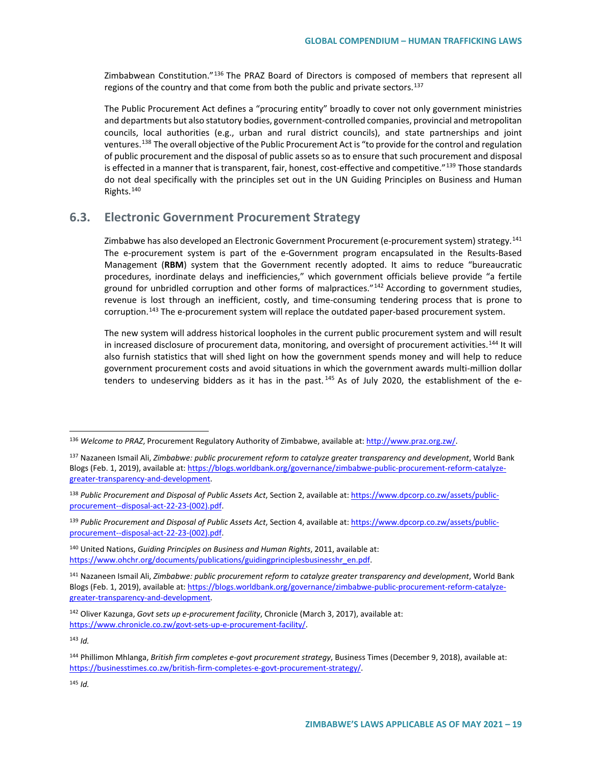Zimbabwean Constitution."[136](#page-18-0) The PRAZ Board of Directors is composed of members that represent all regions of the country and that come from both the public and private sectors.<sup>[137](#page-18-1)</sup>

The Public Procurement Act defines a "procuring entity" broadly to cover not only government ministries and departments but also statutory bodies, government-controlled companies, provincial and metropolitan councils, local authorities (e.g., urban and rural district councils), and state partnerships and joint ventures.[138](#page-18-2) The overall objective of the Public Procurement Act is "to provide for the control and regulation of public procurement and the disposal of public assets so as to ensure that such procurement and disposal is effected in a manner that is transparent, fair, honest, cost-effective and competitive."<sup>[139](#page-18-3)</sup> Those standards do not deal specifically with the principles set out in the UN Guiding Principles on Business and Human Rights.[140](#page-18-4)

## **6.3. Electronic Government Procurement Strategy**

Zimbabwe has also developed an Electronic Government Procurement (e-procurement system) strategy.<sup>[141](#page-18-5)</sup> The e-procurement system is part of the e-Government program encapsulated in the Results-Based Management (**RBM**) system that the Government recently adopted. It aims to reduce "bureaucratic procedures, inordinate delays and inefficiencies," which government officials believe provide "a fertile ground for unbridled corruption and other forms of malpractices."<sup>[142](#page-18-6)</sup> According to government studies, revenue is lost through an inefficient, costly, and time-consuming tendering process that is prone to corruption.<sup>[143](#page-18-7)</sup> The e-procurement system will replace the outdated paper-based procurement system.

The new system will address historical loopholes in the current public procurement system and will result in increased disclosure of procurement data, monitoring, and oversight of procurement activities.<sup>[144](#page-18-8)</sup> It will also furnish statistics that will shed light on how the government spends money and will help to reduce government procurement costs and avoid situations in which the government awards multi-million dollar tenders to undeserving bidders as it has in the past.  $145$  As of July 2020, the establishment of the e-

<span id="page-18-3"></span><sup>139</sup> *Public Procurement and Disposal of Public Assets Act*, Section 4, available at[: https://www.dpcorp.co.zw/assets/public](https://www.dpcorp.co.zw/assets/public-procurement--disposal-act-22-23-(002).pdf)[procurement--disposal-act-22-23-\(002\).pdf.](https://www.dpcorp.co.zw/assets/public-procurement--disposal-act-22-23-(002).pdf) 

<span id="page-18-4"></span><sup>140</sup> United Nations, *Guiding Principles on Business and Human Rights*, 2011, available at: [https://www.ohchr.org/documents/publications/guidingprinciplesbusinesshr\\_en.pdf.](https://www.ohchr.org/documents/publications/guidingprinciplesbusinesshr_en.pdf)

<span id="page-18-5"></span><sup>141</sup> Nazaneen Ismail Ali, *Zimbabwe: public procurement reform to catalyze greater transparency and development*, World Bank Blogs (Feb. 1, 2019), available at[: https://blogs.worldbank.org/governance/zimbabwe-public-procurement-reform-catalyze](https://blogs.worldbank.org/governance/zimbabwe-public-procurement-reform-catalyze-greater-transparency-and-development)[greater-transparency-and-development.](https://blogs.worldbank.org/governance/zimbabwe-public-procurement-reform-catalyze-greater-transparency-and-development)

<span id="page-18-7"></span><sup>143</sup> *Id.*

<span id="page-18-0"></span> <sup>136</sup> *Welcome to PRAZ*, Procurement Regulatory Authority of Zimbabwe, available at[: http://www.praz.org.zw/.](http://www.praz.org.zw/) 

<span id="page-18-1"></span><sup>137</sup> Nazaneen Ismail Ali, *Zimbabwe: public procurement reform to catalyze greater transparency and development*, World Bank Blogs (Feb. 1, 2019), available at[: https://blogs.worldbank.org/governance/zimbabwe-public-procurement-reform-catalyze](https://blogs.worldbank.org/governance/zimbabwe-public-procurement-reform-catalyze-greater-transparency-and-development)[greater-transparency-and-development.](https://blogs.worldbank.org/governance/zimbabwe-public-procurement-reform-catalyze-greater-transparency-and-development)

<span id="page-18-2"></span><sup>138</sup> *Public Procurement and Disposal of Public Assets Act*, Section 2, available at[: https://www.dpcorp.co.zw/assets/public](https://www.dpcorp.co.zw/assets/public-procurement--disposal-act-22-23-(002).pdf)[procurement--disposal-act-22-23-\(002\).pdf.](https://www.dpcorp.co.zw/assets/public-procurement--disposal-act-22-23-(002).pdf) 

<span id="page-18-6"></span><sup>142</sup> Oliver Kazunga, *Govt sets up e-procurement facility*, Chronicle (March 3, 2017), available at: [https://www.chronicle.co.zw/govt-sets-up-e-procurement-facility/.](https://www.chronicle.co.zw/govt-sets-up-e-procurement-facility/)

<span id="page-18-9"></span><span id="page-18-8"></span><sup>144</sup> Phillimon Mhlanga, *British firm completes e-govt procurement strategy*, Business Times (December 9, 2018), available at: [https://businesstimes.co.zw/british-firm-completes-e-govt-procurement-strategy/.](https://businesstimes.co.zw/british-firm-completes-e-govt-procurement-strategy/)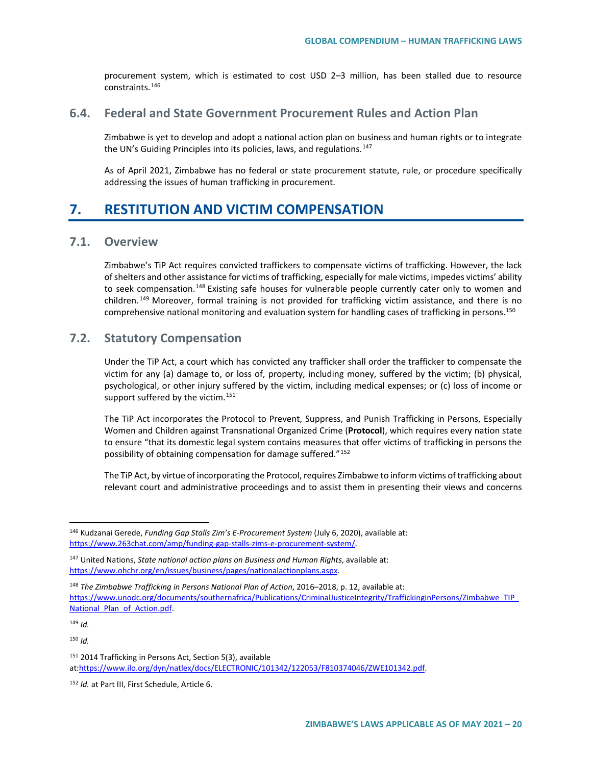procurement system, which is estimated to cost USD 2–3 million, has been stalled due to resource constraints.[146](#page-19-0)

## **6.4. Federal and State Government Procurement Rules and Action Plan**

Zimbabwe is yet to develop and adopt a national action plan on business and human rights or to integrate the UN's Guiding Principles into its policies, laws, and regulations.<sup>[147](#page-19-1)</sup>

As of April 2021, Zimbabwe has no federal or state procurement statute, rule, or procedure specifically addressing the issues of human trafficking in procurement.

# **7. RESTITUTION AND VICTIM COMPENSATION**

## **7.1. Overview**

Zimbabwe's TiP Act requires convicted traffickers to compensate victims of trafficking. However, the lack of shelters and other assistance for victims of trafficking, especially for male victims, impedes victims' ability to seek compensation.<sup>[148](#page-19-2)</sup> Existing safe houses for vulnerable people currently cater only to women and children.<sup>[149](#page-19-3)</sup> Moreover, formal training is not provided for trafficking victim assistance, and there is no comprehensive national monitoring and evaluation system for handling cases of trafficking in persons.<sup>[150](#page-19-4)</sup>

## **7.2. Statutory Compensation**

Under the TiP Act, a court which has convicted any trafficker shall order the trafficker to compensate the victim for any (a) damage to, or loss of, property, including money, suffered by the victim; (b) physical, psychological, or other injury suffered by the victim, including medical expenses; or (c) loss of income or support suffered by the victim.<sup>[151](#page-19-5)</sup>

The TiP Act incorporates the Protocol to Prevent, Suppress, and Punish Trafficking in Persons, Especially Women and Children against Transnational Organized Crime (**Protocol**), which requires every nation state to ensure "that its domestic legal system contains measures that offer victims of trafficking in persons the possibility of obtaining compensation for damage suffered."[152](#page-19-6)

The TiP Act, by virtue of incorporating the Protocol, requires Zimbabwe to inform victims of trafficking about relevant court and administrative proceedings and to assist them in presenting their views and concerns

<span id="page-19-0"></span> <sup>146</sup> Kudzanai Gerede, *Funding Gap Stalls Zim's E-Procurement System* (July 6, 2020), available at: [https://www.263chat.com/amp/funding-gap-stalls-zims-e-procurement-system/.](https://www.263chat.com/amp/funding-gap-stalls-zims-e-procurement-system/)

<span id="page-19-1"></span><sup>147</sup> United Nations, *State national action plans on Business and Human Rights*, available at: [https://www.ohchr.org/en/issues/business/pages/nationalactionplans.aspx.](https://www.ohchr.org/en/issues/business/pages/nationalactionplans.aspx)

<span id="page-19-2"></span><sup>148</sup> *The Zimbabwe Trafficking in Persons National Plan of Action*, 2016–2018, p. 12, available at: [https://www.unodc.org/documents/southernafrica/Publications/CriminalJusticeIntegrity/TraffickinginPersons/Zimbabwe\\_TIP\\_](https://www.unodc.org/documents/southernafrica/Publications/CriminalJusticeIntegrity/TraffickinginPersons/Zimbabwe_TIP_National_Plan_of_Action.pdf) National Plan of Action.pdf.

<span id="page-19-4"></span><span id="page-19-3"></span><sup>150</sup> *Id.*

<span id="page-19-5"></span><sup>&</sup>lt;sup>151</sup> 2014 Trafficking in Persons Act, Section 5(3), available a[t:https://www.ilo.org/dyn/natlex/docs/ELECTRONIC/101342/122053/F810374046/ZWE101342.pdf.](https://www.ilo.org/dyn/natlex/docs/ELECTRONIC/101342/122053/F810374046/ZWE101342.pdf) 

<span id="page-19-6"></span><sup>152</sup> *Id.* at Part III, First Schedule, Article 6.